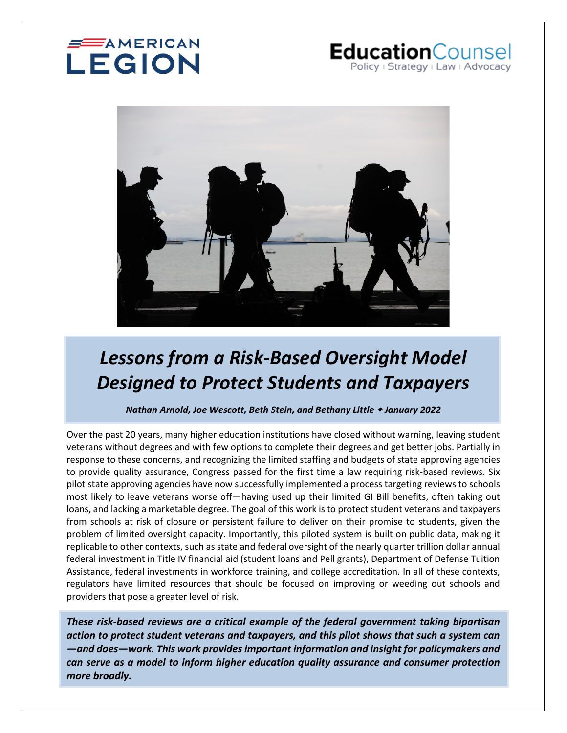# **SAMERICAN** LEGION

# EducationCounsel Policy | Strategy | Law | Advocacy



# *Lessons from a Risk-Based Oversight Model Designed to Protect Students and Taxpayers*

*Nathan Arnold, Joe Wescott, Beth Stein, and Bethany Little January 2022* 

Over the past 20 years, many higher education institutions have closed without warning, leaving student veterans without degrees and with few options to complete their degrees and get better jobs. Partially in response to these concerns, and recognizing the limited staffing and budgets of state approving agencies to provide quality assurance, Congress passed for the first time a law requiring risk-based reviews. Six pilot state approving agencies have now successfully implemented a process targeting reviews to schools most likely to leave veterans worse off—having used up their limited GI Bill benefits, often taking out loans, and lacking a marketable degree. The goal of this work is to protect student veterans and taxpayers from schools at risk of closure or persistent failure to deliver on their promise to students, given the problem of limited oversight capacity. Importantly, this piloted system is built on public data, making it replicable to other contexts, such as state and federal oversight of the nearly quarter trillion dollar annual federal investment in Title IV financial aid (student loans and Pell grants), Department of Defense Tuition Assistance, federal investments in workforce training, and college accreditation. In all of these contexts, regulators have limited resources that should be focused on improving or weeding out schools and providers that pose a greater level of risk.

*These risk-based reviews are a critical example of the federal government taking bipartisan action to protect student veterans and taxpayers, and this pilot shows that such a system can —and does—work. This work provides important information and insight for policymakers and can serve as a model to inform higher education quality assurance and consumer protection more broadly.*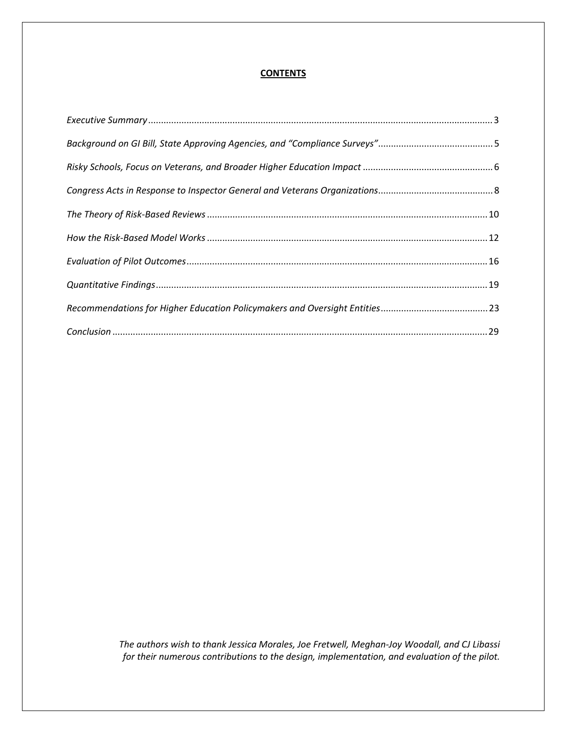## **CONTENTS**

*The authors wish to thank Jessica Morales, Joe Fretwell, Meghan-Joy Woodall, and CJ Libassi for their numerous contributions to the design, implementation, and evaluation of the pilot.*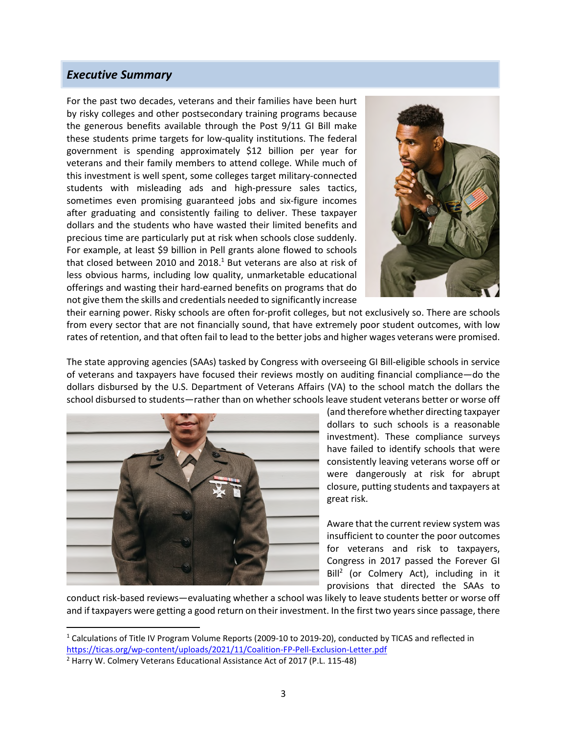# <span id="page-2-0"></span>*Executive Summary*

For the past two decades, veterans and their families have been hurt by risky colleges and other postsecondary training programs because the generous benefits available through the Post 9/11 GI Bill make these students prime targets for low-quality institutions. The federal government is spending approximately \$12 billion per year for veterans and their family members to attend college. While much of this investment is well spent, some colleges target military-connected students with misleading ads and high-pressure sales tactics, sometimes even promising guaranteed jobs and six-figure incomes after graduating and consistently failing to deliver. These taxpayer dollars and the students who have wasted their limited benefits and precious time are particularly put at risk when schools close suddenly. For example, at least \$9 billion in Pell grants alone flowed to schools that closed between 20[1](#page-2-1)0 and 2018. $^1$  But veterans are also at risk of less obvious harms, including low quality, unmarketable educational offerings and wasting their hard-earned benefits on programs that do not give them the skills and credentials needed to significantly increase



their earning power. Risky schools are often for-profit colleges, but not exclusively so. There are schools from every sector that are not financially sound, that have extremely poor student outcomes, with low rates of retention, and that often fail to lead to the better jobs and higher wages veterans were promised.

The state approving agencies (SAAs) tasked by Congress with overseeing GI Bill-eligible schools in service of veterans and taxpayers have focused their reviews mostly on auditing financial compliance—do the dollars disbursed by the U.S. Department of Veterans Affairs (VA) to the school match the dollars the school disbursed to students—rather than on whether schools leave student veterans better or worse off



(and therefore whether directing taxpayer dollars to such schools is a reasonable investment). These compliance surveys have failed to identify schools that were consistently leaving veterans worse off or were dangerously at risk for abrupt closure, putting students and taxpayers at great risk.

Aware that the current review system was insufficient to counter the poor outcomes for veterans and risk to taxpayers, Congress in 2017 passed the Forever GI Bill<sup>[2](#page-2-2)</sup> (or Colmery Act), including in it provisions that directed the SAAs to

conduct risk-based reviews—evaluating whether a school was likely to leave students better or worse off and if taxpayers were getting a good return on their investment. In the first two years since passage, there

<span id="page-2-1"></span><sup>&</sup>lt;sup>1</sup> Calculations of Title IV Program Volume Reports (2009-10 to 2019-20), conducted by TICAS and reflected in https://ticas.org/wp-content/uploads/2021/11/Coalition-FP-Pell-Exclusion-Letter.pdf

<span id="page-2-2"></span><sup>&</sup>lt;sup>2</sup> Harry W. Colmery Veterans Educational Assistance Act of 2017 (P.L. 115-48)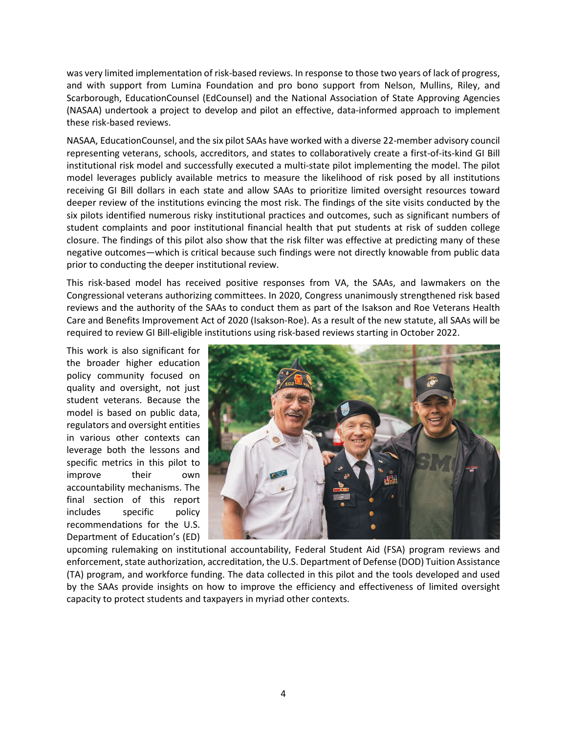was very limited implementation of risk-based reviews. In response to those two years of lack of progress, and with support from Lumina Foundation and pro bono support from Nelson, Mullins, Riley, and Scarborough, EducationCounsel (EdCounsel) and the National Association of State Approving Agencies (NASAA) undertook a project to develop and pilot an effective, data-informed approach to implement these risk-based reviews.

NASAA, EducationCounsel, and the six pilot SAAs have worked with a diverse 22-member advisory council representing veterans, schools, accreditors, and states to collaboratively create a first-of-its-kind GI Bill institutional risk model and successfully executed a multi-state pilot implementing the model. The pilot model leverages publicly available metrics to measure the likelihood of risk posed by all institutions receiving GI Bill dollars in each state and allow SAAs to prioritize limited oversight resources toward deeper review of the institutions evincing the most risk. The findings of the site visits conducted by the six pilots identified numerous risky institutional practices and outcomes, such as significant numbers of student complaints and poor institutional financial health that put students at risk of sudden college closure. The findings of this pilot also show that the risk filter was effective at predicting many of these negative outcomes—which is critical because such findings were not directly knowable from public data prior to conducting the deeper institutional review.

This risk-based model has received positive responses from VA, the SAAs, and lawmakers on the Congressional veterans authorizing committees. In 2020, Congress unanimously strengthened risk based reviews and the authority of the SAAs to conduct them as part of the Isakson and Roe Veterans Health Care and Benefits Improvement Act of 2020 (Isakson-Roe). As a result of the new statute, all SAAs will be required to review GI Bill-eligible institutions using risk-based reviews starting in October 2022.

This work is also significant for the broader higher education policy community focused on quality and oversight, not just student veterans. Because the model is based on public data, regulators and oversight entities in various other contexts can leverage both the lessons and specific metrics in this pilot to improve their own accountability mechanisms. The final section of this report includes specific policy recommendations for the U.S. Department of Education's (ED)



upcoming rulemaking on institutional accountability, Federal Student Aid (FSA) program reviews and enforcement, state authorization, accreditation, the U.S. Department of Defense (DOD) Tuition Assistance (TA) program, and workforce funding. The data collected in this pilot and the tools developed and used by the SAAs provide insights on how to improve the efficiency and effectiveness of limited oversight capacity to protect students and taxpayers in myriad other contexts.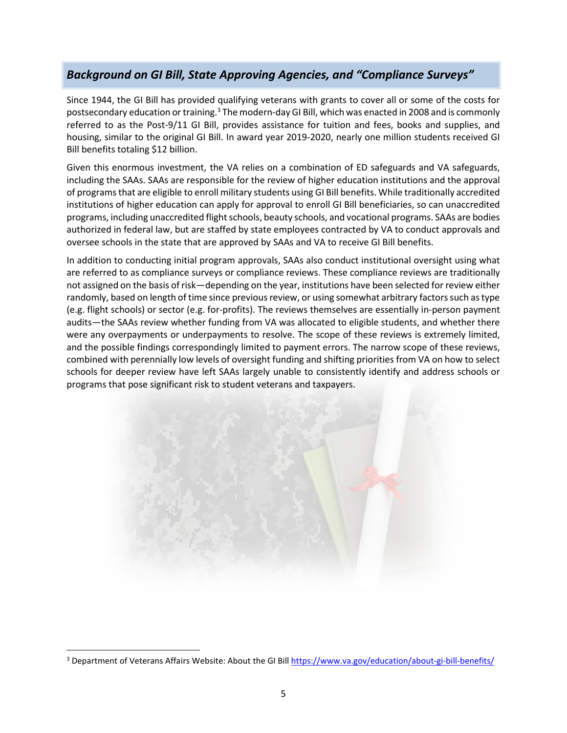# <span id="page-4-0"></span>*Background on GI Bill, State Approving Agencies, and "Compliance Surveys"*

Since 1944, the GI Bill has provided qualifying veterans with grants to cover all or some of the costs for postsecondary education or training.<sup>[3](#page-4-1)</sup> The modern-day GI Bill, which was enacted in 2008 and is commonly referred to as the Post-9/11 GI Bill, provides assistance for tuition and fees, books and supplies, and housing, similar to the original GI Bill. In award year 2019-2020, nearly one million students received GI Bill benefits totaling \$12 billion.

Given this enormous investment, the VA relies on a combination of ED safeguards and VA safeguards, including the SAAs. SAAs are responsible for the review of higher education institutions and the approval of programs that are eligible to enroll military students using GI Bill benefits. While traditionally accredited institutions of higher education can apply for approval to enroll GI Bill beneficiaries, so can unaccredited programs, including unaccredited flight schools, beauty schools, and vocational programs. SAAs are bodies authorized in federal law, but are staffed by state employees contracted by VA to conduct approvals and oversee schools in the state that are approved by SAAs and VA to receive GI Bill benefits.

In addition to conducting initial program approvals, SAAs also conduct institutional oversight using what are referred to as compliance surveys or compliance reviews. These compliance reviews are traditionally not assigned on the basis of risk—depending on the year, institutions have been selected for review either randomly, based on length of time since previous review, or using somewhat arbitrary factors such as type (e.g. flight schools) or sector (e.g. for-profits). The reviews themselves are essentially in-person payment audits—the SAAs review whether funding from VA was allocated to eligible students, and whether there were any overpayments or underpayments to resolve. The scope of these reviews is extremely limited, and the possible findings correspondingly limited to payment errors. The narrow scope of these reviews, combined with perennially low levels of oversight funding and shifting priorities from VA on how to select schools for deeper review have left SAAs largely unable to consistently identify and address schools or programs that pose significant risk to student veterans and taxpayers.



<span id="page-4-1"></span><sup>&</sup>lt;sup>3</sup> Department of Veterans Affairs Website: About the GI Bill https://www.va.gov/education/about-gi-bill-benefits/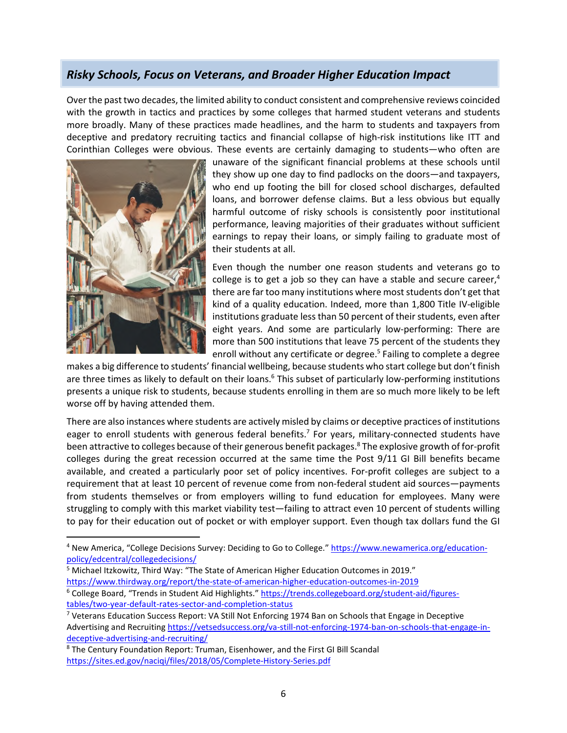# <span id="page-5-0"></span>*Risky Schools, Focus on Veterans, and Broader Higher Education Impact*

Over the past two decades, the limited ability to conduct consistent and comprehensive reviews coincided with the growth in tactics and practices by some colleges that harmed student veterans and students more broadly. Many of these practices made headlines, and the harm to students and taxpayers from deceptive and predatory recruiting tactics and financial collapse of high-risk institutions like ITT and Corinthian Colleges were obvious. These events are certainly damaging to students—who often are



unaware of the significant financial problems at these schools until they show up one day to find padlocks on the doors—and taxpayers, who end up footing the bill for closed school discharges, defaulted loans, and borrower defense claims. But a less obvious but equally harmful outcome of risky schools is consistently poor institutional performance, leaving majorities of their graduates without sufficient earnings to repay their loans, or simply failing to graduate most of their students at all.

Even though the number one reason students and veterans go to college is to get a job so they can have a stable and secure career, $4$ there are far too many institutions where most students don't get that kind of a quality education. Indeed, more than 1,800 Title IV-eligible institutions graduate less than 50 percent of their students, even after eight years. And some are particularly low-performing: There are more than 500 institutions that leave 75 percent of the students they enrollwithout any certificate or degree.<sup>5</sup> Failing to complete a degree

makes a big difference to students' financial wellbeing, because students who start college but don't finish are three times as likely to default on their loans.<sup>[6](#page-5-3)</sup> This subset of particularly low-performing institutions presents a unique risk to students, because students enrolling in them are so much more likely to be left worse off by having attended them.

There are also instances where students are actively misled by claims or deceptive practices of institutions eager to enroll students with generous federal benefits.<sup>[7](#page-5-4)</sup> For years, military-connected students have been attractive to colleges because of their generous benefit packages.<sup>[8](#page-5-5)</sup> The explosive growth of for-profit colleges during the great recession occurred at the same time the Post 9/11 GI Bill benefits became available, and created a particularly poor set of policy incentives. For-profit colleges are subject to a requirement that at least 10 percent of revenue come from non-federal student aid sources—payments from students themselves or from employers willing to fund education for employees. Many were struggling to comply with this market viability test—failing to attract even 10 percent of students willing to pay for their education out of pocket or with employer support. Even though tax dollars fund the GI

- <span id="page-5-2"></span><sup>5</sup> Michael Itzkowitz, Third Way: "The State of American Higher Education Outcomes in 2019."
- <span id="page-5-3"></span>https://www.thirdway.org/report/the-state-of-american-higher-education-outcomes-in-2019 <sup>6</sup> College Board, "Trends in Student Aid Highlights." https://trends.collegeboard.org/student-aid/figurestables/two-year-default-rates-sector-and-completion-status

<span id="page-5-1"></span><sup>&</sup>lt;sup>4</sup> New America, "College Decisions Survey: Deciding to Go to College." https://www.newamerica.org/educationpolicy/edcentral/collegedecisions/

<span id="page-5-4"></span><sup>&</sup>lt;sup>7</sup> Veterans Education Success Report: VA Still Not Enforcing 1974 Ban on Schools that Engage in Deceptive Advertising and Recruiting https://vetsedsuccess.org/va-still-not-enforcing-1974-ban-on-schools-that-engage-indeceptive-advertising-and-recruiting/

<span id="page-5-5"></span><sup>&</sup>lt;sup>8</sup> The Century Foundation Report: Truman, Eisenhower, and the First GI Bill Scandal https://sites.ed.gov/naciqi/files/2018/05/Complete-History-Series.pdf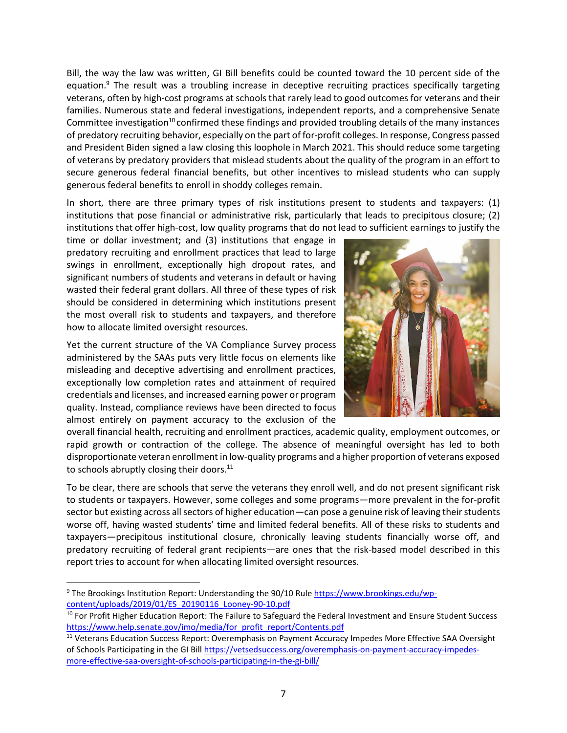Bill, the way the law was written, GI Bill benefits could be counted toward the 10 percent side of the equation.<sup>[9](#page-6-0)</sup> The result was a troubling increase in deceptive recruiting practices specifically targeting veterans, often by high-cost programs at schools that rarely lead to good outcomes for veterans and their families. Numerous state and federal investigations, independent reports, and a comprehensive Senate Committee investigation<sup>10</sup> confirmed these findings and provided troubling details of the many instances of predatory recruiting behavior, especially on the part of for-profit colleges. In response, Congress passed and President Biden signed a law closing this loophole in March 2021. This should reduce some targeting of veterans by predatory providers that mislead students about the quality of the program in an effort to secure generous federal financial benefits, but other incentives to mislead students who can supply generous federal benefits to enroll in shoddy colleges remain.

In short, there are three primary types of risk institutions present to students and taxpayers: (1) institutions that pose financial or administrative risk, particularly that leads to precipitous closure; (2) institutions that offer high-cost, low quality programs that do not lead to sufficient earnings to justify the

time or dollar investment; and (3) institutions that engage in predatory recruiting and enrollment practices that lead to large swings in enrollment, exceptionally high dropout rates, and significant numbers of students and veterans in default or having wasted their federal grant dollars. All three of these types of risk should be considered in determining which institutions present the most overall risk to students and taxpayers, and therefore how to allocate limited oversight resources.

Yet the current structure of the VA Compliance Survey process administered by the SAAs puts very little focus on elements like misleading and deceptive advertising and enrollment practices, exceptionally low completion rates and attainment of required credentials and licenses, and increased earning power or program quality. Instead, compliance reviews have been directed to focus almost entirely on payment accuracy to the exclusion of the



overall financial health, recruiting and enrollment practices, academic quality, employment outcomes, or rapid growth or contraction of the college. The absence of meaningful oversight has led to both disproportionate veteran enrollment in low-quality programs and a higher proportion of veterans exposed to schools abruptly closing their doors. $11$ 

To be clear, there are schools that serve the veterans they enroll well, and do not present significant risk to students or taxpayers. However, some colleges and some programs—more prevalent in the for-profit sector but existing across all sectors of higher education—can pose a genuine risk of leaving their students worse off, having wasted students' time and limited federal benefits. All of these risks to students and taxpayers—precipitous institutional closure, chronically leaving students financially worse off, and predatory recruiting of federal grant recipients—are ones that the risk-based model described in this report tries to account for when allocating limited oversight resources.

<span id="page-6-0"></span><sup>&</sup>lt;sup>9</sup> The Brookings Institution Report: Understanding the 90/10 Rule https://www.brookings.edu/wpcontent/uploads/2019/01/ES\_20190116\_Looney-90-10.pdf

<span id="page-6-1"></span><sup>&</sup>lt;sup>10</sup> For Profit Higher Education Report: The Failure to Safeguard the Federal Investment and Ensure Student Success https://www.help.senate.gov/imo/media/for\_profit\_report/Contents.pdf

<span id="page-6-2"></span><sup>&</sup>lt;sup>11</sup> Veterans Education Success Report: Overemphasis on Payment Accuracy Impedes More Effective SAA Oversight of Schools Participating in the GI Bill https://vetsedsuccess.org/overemphasis-on-payment-accuracy-impedesmore-effective-saa-oversight-of-schools-participating-in-the-gi-bill/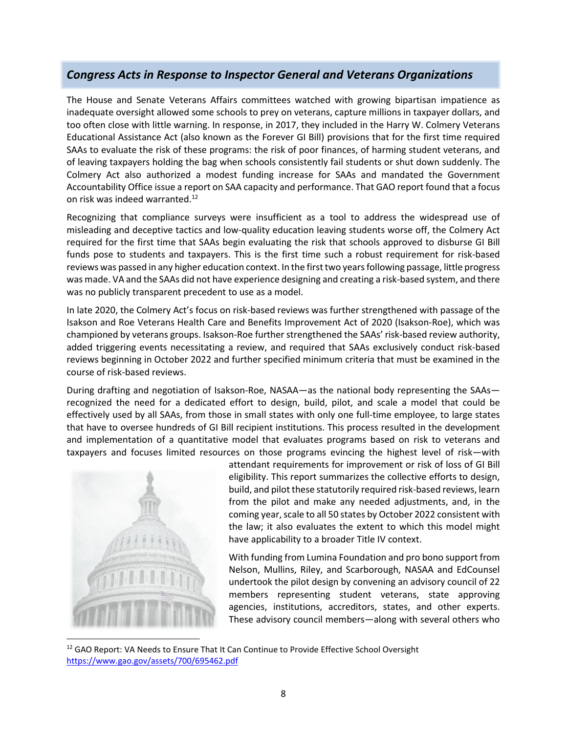# <span id="page-7-0"></span>*Congress Acts in Response to Inspector General and Veterans Organizations*

The House and Senate Veterans Affairs committees watched with growing bipartisan impatience as inadequate oversight allowed some schools to prey on veterans, capture millions in taxpayer dollars, and too often close with little warning. In response, in 2017, they included in the Harry W. Colmery Veterans Educational Assistance Act (also known as the Forever GI Bill) provisions that for the first time required SAAs to evaluate the risk of these programs: the risk of poor finances, of harming student veterans, and of leaving taxpayers holding the bag when schools consistently fail students or shut down suddenly. The Colmery Act also authorized a modest funding increase for SAAs and mandated the Government Accountability Office issue a report on SAA capacity and performance. That GAO report found that a focus on risk was indeed warranted.<sup>[12](#page-7-1)</sup>

Recognizing that compliance surveys were insufficient as a tool to address the widespread use of misleading and deceptive tactics and low-quality education leaving students worse off, the Colmery Act required for the first time that SAAs begin evaluating the risk that schools approved to disburse GI Bill funds pose to students and taxpayers. This is the first time such a robust requirement for risk-based reviews was passed in any higher education context. In the first two years following passage, little progress was made. VA and the SAAs did not have experience designing and creating a risk-based system, and there was no publicly transparent precedent to use as a model.

In late 2020, the Colmery Act's focus on risk-based reviews was further strengthened with passage of the Isakson and Roe Veterans Health Care and Benefits Improvement Act of 2020 (Isakson-Roe), which was championed by veterans groups. Isakson-Roe further strengthened the SAAs' risk-based review authority, added triggering events necessitating a review, and required that SAAs exclusively conduct risk-based reviews beginning in October 2022 and further specified minimum criteria that must be examined in the course of risk-based reviews.

During drafting and negotiation of Isakson-Roe, NASAA—as the national body representing the SAAs recognized the need for a dedicated effort to design, build, pilot, and scale a model that could be effectively used by all SAAs, from those in small states with only one full-time employee, to large states that have to oversee hundreds of GI Bill recipient institutions. This process resulted in the development and implementation of a quantitative model that evaluates programs based on risk to veterans and taxpayers and focuses limited resources on those programs evincing the highest level of risk—with



attendant requirements for improvement or risk of loss of GI Bill eligibility. This report summarizes the collective efforts to design, build, and pilot these statutorily required risk-based reviews, learn from the pilot and make any needed adjustments, and, in the coming year, scale to all 50 states by October 2022 consistent with the law; it also evaluates the extent to which this model might have applicability to a broader Title IV context.

With funding from Lumina Foundation and pro bono support from Nelson, Mullins, Riley, and Scarborough, NASAA and EdCounsel undertook the pilot design by convening an advisory council of 22 members representing student veterans, state approving agencies, institutions, accreditors, states, and other experts. These advisory council members—along with several others who

<span id="page-7-1"></span> $12$  GAO Report: VA Needs to Ensure That It Can Continue to Provide Effective School Oversight https://www.gao.gov/assets/700/695462.pdf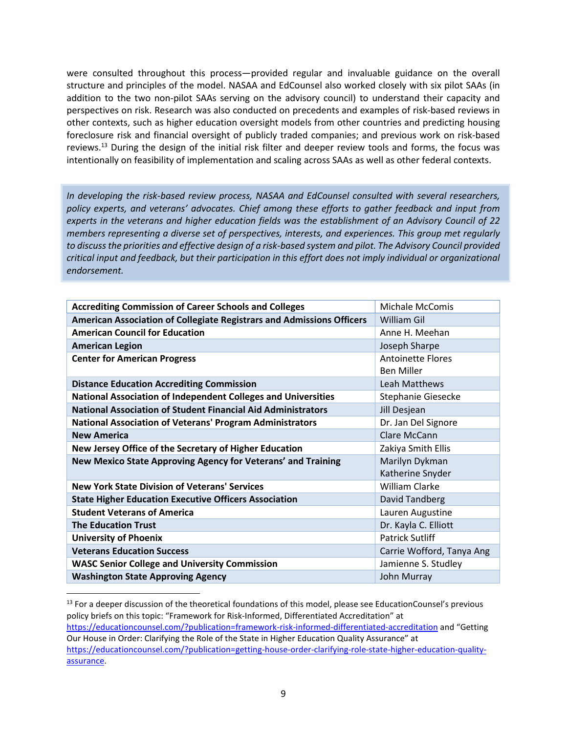were consulted throughout this process—provided regular and invaluable guidance on the overall structure and principles of the model. NASAA and EdCounsel also worked closely with six pilot SAAs (in addition to the two non-pilot SAAs serving on the advisory council) to understand their capacity and perspectives on risk. Research was also conducted on precedents and examples of risk-based reviews in other contexts, such as higher education oversight models from other countries and predicting housing foreclosure risk and financial oversight of publicly traded companies; and previous work on risk-based reviews.[13](#page-8-0) During the design of the initial risk filter and deeper review tools and forms, the focus was intentionally on feasibility of implementation and scaling across SAAs as well as other federal contexts.

*In developing the risk-based review process, NASAA and EdCounsel consulted with several researchers, policy experts, and veterans' advocates. Chief among these efforts to gather feedback and input from experts in the veterans and higher education fields was the establishment of an Advisory Council of 22 members representing a diverse set of perspectives, interests, and experiences. This group met regularly to discuss the priorities and effective design of a risk-based system and pilot. The Advisory Council provided critical input and feedback, but their participation in this effort does not imply individual or organizational endorsement.* 

| <b>Accrediting Commission of Career Schools and Colleges</b>          | <b>Michale McComis</b>    |
|-----------------------------------------------------------------------|---------------------------|
| American Association of Collegiate Registrars and Admissions Officers | William Gil               |
| <b>American Council for Education</b>                                 | Anne H. Meehan            |
| <b>American Legion</b>                                                | Joseph Sharpe             |
| <b>Center for American Progress</b>                                   | <b>Antoinette Flores</b>  |
|                                                                       | <b>Ben Miller</b>         |
| <b>Distance Education Accrediting Commission</b>                      | Leah Matthews             |
| <b>National Association of Independent Colleges and Universities</b>  | Stephanie Giesecke        |
| <b>National Association of Student Financial Aid Administrators</b>   | Jill Desjean              |
| <b>National Association of Veterans' Program Administrators</b>       | Dr. Jan Del Signore       |
| <b>New America</b>                                                    | Clare McCann              |
| New Jersey Office of the Secretary of Higher Education                | Zakiya Smith Ellis        |
| New Mexico State Approving Agency for Veterans' and Training          | Marilyn Dykman            |
|                                                                       | Katherine Snyder          |
| <b>New York State Division of Veterans' Services</b>                  | William Clarke            |
| <b>State Higher Education Executive Officers Association</b>          | David Tandberg            |
| <b>Student Veterans of America</b>                                    | Lauren Augustine          |
| <b>The Education Trust</b>                                            | Dr. Kayla C. Elliott      |
| <b>University of Phoenix</b>                                          | <b>Patrick Sutliff</b>    |
| <b>Veterans Education Success</b>                                     | Carrie Wofford, Tanya Ang |
| <b>WASC Senior College and University Commission</b>                  | Jamienne S. Studley       |
| <b>Washington State Approving Agency</b>                              | John Murray               |

<span id="page-8-0"></span><sup>&</sup>lt;sup>13</sup> For a deeper discussion of the theoretical foundations of this model, please see EducationCounsel's previous policy briefs on this topic: "Framework for Risk-Informed, Differentiated Accreditation" at https://educationcounsel.com/?publication=framework-risk-informed-differentiated-accreditation and "Getting Our House in Order: Clarifying the Role of the State in Higher Education Quality Assurance" at https://educationcounsel.com/?publication=getting-house-order-clarifying-role-state-higher-education-qualityassurance.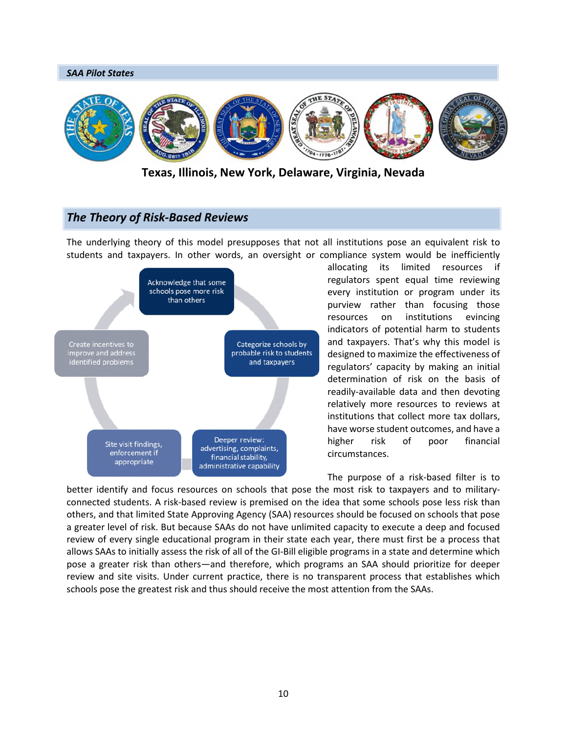

**Texas, Illinois, New York, Delaware, Virginia, Nevada**

# <span id="page-9-0"></span>*The Theory of Risk-Based Reviews*

The underlying theory of this model presupposes that not all institutions pose an equivalent risk to students and taxpayers. In other words, an oversight or compliance system would be inefficiently



allocating its limited resources if regulators spent equal time reviewing every institution or program under its purview rather than focusing those resources on institutions evincing indicators of potential harm to students and taxpayers. That's why this model is designed to maximize the effectiveness of regulators' capacity by making an initial determination of risk on the basis of readily-available data and then devoting relatively more resources to reviews at institutions that collect more tax dollars, have worse student outcomes, and have a higher risk of poor financial circumstances.

The purpose of a risk-based filter is to better identify and focus resources on schools that pose the most risk to taxpayers and to militaryconnected students. A risk-based review is premised on the idea that some schools pose less risk than others, and that limited State Approving Agency (SAA) resources should be focused on schools that pose a greater level of risk. But because SAAs do not have unlimited capacity to execute a deep and focused review of every single educational program in their state each year, there must first be a process that allows SAAs to initially assess the risk of all of the GI-Bill eligible programs in a state and determine which pose a greater risk than others—and therefore, which programs an SAA should prioritize for deeper review and site visits. Under current practice, there is no transparent process that establishes which schools pose the greatest risk and thus should receive the most attention from the SAAs.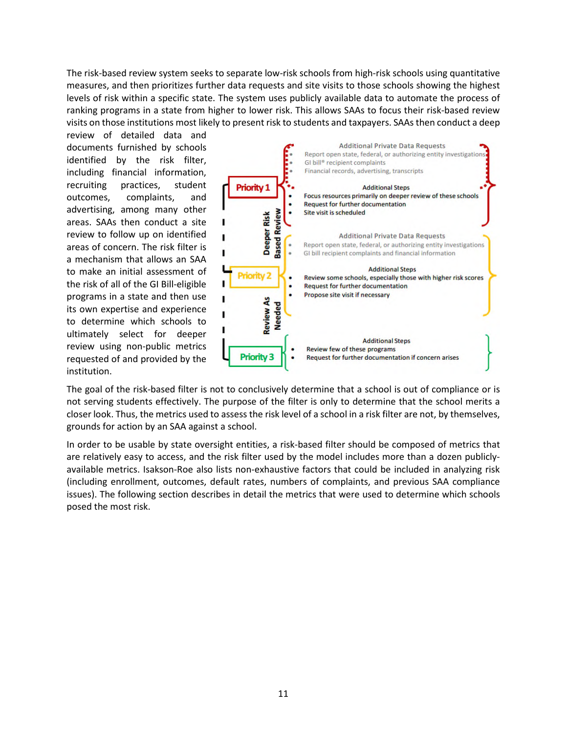The risk-based review system seeks to separate low-risk schools from high-risk schools using quantitative measures, and then prioritizes further data requests and site visits to those schools showing the highest levels of risk within a specific state. The system uses publicly available data to automate the process of ranking programs in a state from higher to lower risk. This allows SAAs to focus their risk-based review visits on those institutions most likely to present risk to students and taxpayers. SAAs then conduct a deep

review of detailed data and documents furnished by schools identified by the risk filter, including financial information, recruiting practices, student outcomes, complaints, and advertising, among many other areas. SAAs then conduct a site review to follow up on identified areas of concern. The risk filter is a mechanism that allows an SAA to make an initial assessment of the risk of all of the GI Bill-eligible programs in a state and then use its own expertise and experience to determine which schools to ultimately select for deeper review using non-public metrics requested of and provided by the institution.



The goal of the risk-based filter is not to conclusively determine that a school is out of compliance or is not serving students effectively. The purpose of the filter is only to determine that the school merits a closer look. Thus, the metrics used to assess the risk level of a school in a risk filter are not, by themselves, grounds for action by an SAA against a school.

In order to be usable by state oversight entities, a risk-based filter should be composed of metrics that are relatively easy to access, and the risk filter used by the model includes more than a dozen publiclyavailable metrics. Isakson-Roe also lists non-exhaustive factors that could be included in analyzing risk (including enrollment, outcomes, default rates, numbers of complaints, and previous SAA compliance issues). The following section describes in detail the metrics that were used to determine which schools posed the most risk.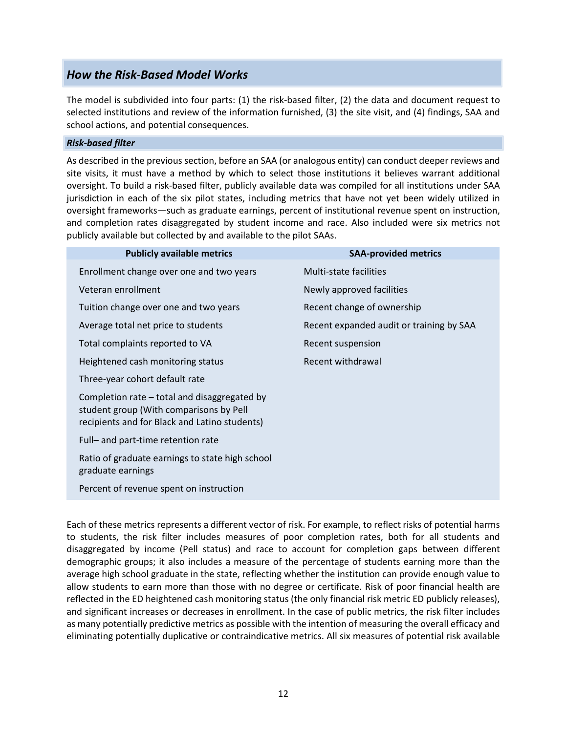# <span id="page-11-0"></span>*How the Risk-Based Model Works*

The model is subdivided into four parts: (1) the risk-based filter, (2) the data and document request to selected institutions and review of the information furnished, (3) the site visit, and (4) findings, SAA and school actions, and potential consequences.

## *Risk-based filter*

As described in the previous section, before an SAA (or analogous entity) can conduct deeper reviews and site visits, it must have a method by which to select those institutions it believes warrant additional oversight. To build a risk-based filter, publicly available data was compiled for all institutions under SAA jurisdiction in each of the six pilot states, including metrics that have not yet been widely utilized in oversight frameworks—such as graduate earnings, percent of institutional revenue spent on instruction, and completion rates disaggregated by student income and race. Also included were six metrics not publicly available but collected by and available to the pilot SAAs.

| <b>Publicly available metrics</b>                                                                                                        | <b>SAA-provided metrics</b>              |
|------------------------------------------------------------------------------------------------------------------------------------------|------------------------------------------|
| Enrollment change over one and two years                                                                                                 | Multi-state facilities                   |
| Veteran enrollment                                                                                                                       | Newly approved facilities                |
| Tuition change over one and two years                                                                                                    | Recent change of ownership               |
| Average total net price to students                                                                                                      | Recent expanded audit or training by SAA |
| Total complaints reported to VA                                                                                                          | Recent suspension                        |
| Heightened cash monitoring status                                                                                                        | Recent withdrawal                        |
| Three-year cohort default rate                                                                                                           |                                          |
| Completion rate – total and disaggregated by<br>student group (With comparisons by Pell<br>recipients and for Black and Latino students) |                                          |
| Full- and part-time retention rate                                                                                                       |                                          |
| Ratio of graduate earnings to state high school<br>graduate earnings                                                                     |                                          |
| Percent of revenue spent on instruction                                                                                                  |                                          |

Each of these metrics represents a different vector of risk. For example, to reflect risks of potential harms to students, the risk filter includes measures of poor completion rates, both for all students and disaggregated by income (Pell status) and race to account for completion gaps between different demographic groups; it also includes a measure of the percentage of students earning more than the average high school graduate in the state, reflecting whether the institution can provide enough value to allow students to earn more than those with no degree or certificate. Risk of poor financial health are reflected in the ED heightened cash monitoring status (the only financial risk metric ED publicly releases), and significant increases or decreases in enrollment. In the case of public metrics, the risk filter includes as many potentially predictive metrics as possible with the intention of measuring the overall efficacy and eliminating potentially duplicative or contraindicative metrics. All six measures of potential risk available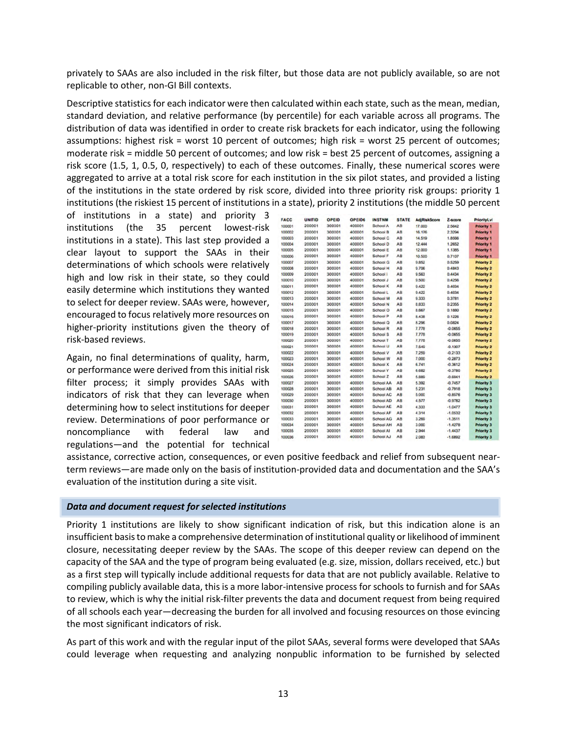privately to SAAs are also included in the risk filter, but those data are not publicly available, so are not replicable to other, non-GI Bill contexts.

Descriptive statistics for each indicator were then calculated within each state, such as the mean, median, standard deviation, and relative performance (by percentile) for each variable across all programs. The distribution of data was identified in order to create risk brackets for each indicator, using the following assumptions: highest risk = worst 10 percent of outcomes; high risk = worst 25 percent of outcomes; moderate risk = middle 50 percent of outcomes; and low risk = best 25 percent of outcomes, assigning a risk score (1.5, 1, 0.5, 0, respectively) to each of these outcomes. Finally, these numerical scores were aggregated to arrive at a total risk score for each institution in the six pilot states, and provided a listing of the institutions in the state ordered by risk score, divided into three priority risk groups: priority 1 institutions (the riskiest 15 percent of institutions in a state), priority 2 institutions (the middle 50 percent

of institutions in a state) and priority 3 institutions (the 35 percent lowest-risk institutions in a state). This last step provided a clear layout to support the SAAs in their determinations of which schools were relatively high and low risk in their state, so they could easily determine which institutions they wanted to select for deeper review. SAAs were, however, encouraged to focus relatively more resources on higher-priority institutions given the theory of risk-based reviews.

Again, no final determinations of quality, harm, or performance were derived from this initial risk filter process; it simply provides SAAs with indicators of risk that they can leverage when determining how to select institutions for deeper review. Determinations of poor performance or noncompliance with federal law and regulations—and the potential for technical

| cс         | <b>UNITID</b> | OPEID  | OPEID6 | <b>INSTNM</b>    | <b>STATE</b>   | <b>AdjRiskScore</b> | Z-score   | PriorityLvl       |
|------------|---------------|--------|--------|------------------|----------------|---------------------|-----------|-------------------|
| 001        | 200001        | 300001 | 400001 | School A         | AB             | 17.000              | 2.5642    | <b>Priority 1</b> |
| 002        | 200001        | 300001 | 400001 | School B         | A <sub>B</sub> | 16.176              | 2 3294    | <b>Priority 1</b> |
| œз         | 200001        | 300001 | 400001 | School C         | AB             | 14.519              | 1.8566    | <b>Priority 1</b> |
| 004        | 200001        | 300001 | 400001 | School D         | AB             | 12.444              | 1,2652    | <b>Priority 1</b> |
| 005        | 200001        | 300001 | 400001 | School E         | A <sub>B</sub> | 12,000              | 1.1385    | <b>Priority 1</b> |
| 006        | 200001        | 300001 | 400001 | School F         | A <sub>B</sub> | 10.500              | 0.7107    | <b>Priority 1</b> |
| CO7        | 200001        | 300001 | 400001 | <b>School G</b>  | A <sub>B</sub> | 9.852               | 0.5259    | <b>Priority 2</b> |
| 008        | 200001        | 300001 | 400001 | School H         | AB             | 9.706               | 0.4843    | Priority 2        |
| 009        | 200001        | 300001 | 400001 | School I         | A <sub>B</sub> | 9.563               | 0.4434    | <b>Priority 2</b> |
| 010        | 200001        | 300001 | 400001 | School J         | AB             | 9.500               | 0.4256    | <b>Priority 2</b> |
| 011        | 200001        | 300001 | 400001 | School K         | AB             | 0.422               | 0.4034    | <b>Priority 2</b> |
| 012        | 200001        | 300001 | 400001 | School L         | A <sub>B</sub> | 9.422               | 0.4034    | Priority 2        |
| 013        | 200001        | 300001 | 400001 | School M         | A <sub>B</sub> | 9.333               | 0.3781    | <b>Priority 2</b> |
| 014        | 200001        | 300001 | 400001 | School N         | A <sub>B</sub> | 8.833               | 0.2355    | <b>Priority 2</b> |
| 015        | 200001        | 300001 | 400001 | School O         | AB             | 8.667               | 0.1880    | Priority 2        |
| 016        | 200001        | 300001 | 400001 | School P         | AB             | 8,438               | 0.1226    | <b>Priority 2</b> |
| 017        | 200001        | 300001 | 400001 | School Q         | AB             | 8.296               | 0.0824    | <b>Priority 2</b> |
| 018        | 200001        | 300001 | 400001 | School R         | A <sub>B</sub> | 7,778               | $-0.0655$ | <b>Priority 2</b> |
| 019        | 200001        | 300001 | 400001 | School S         | A <sub>B</sub> | 7,778               | $-0.0655$ | <b>Priority 2</b> |
| 020        | 200001        | 300001 | 400001 | <b>School T</b>  | AB             | 7.778               | $-0.0655$ | <b>Priority 2</b> |
| 621        | 200001        | 300001 | 400001 | School U         | A <sub>B</sub> | 7.549               | $-0.1307$ | Priority 2        |
| 022        | 200001        | 300001 | 400001 | School V         | AB             | 7.259               | $-0.2133$ | <b>Priority 2</b> |
| 023        | 200001        | 300001 | 400001 | School W         | AB             | 7.000               | $-0.2873$ | Priority 2        |
| 024        | 200001        | 300001 | 400001 | School X         | A <sub>B</sub> | 6.741               | $-0.3612$ | <b>Priority 2</b> |
| 025        | 200001        | 300001 | 400001 | School Y         | AB             | 6.682               | $-0.3780$ | <b>Priority 2</b> |
| 026        | 200001        | 300001 | 400001 | School Z         | A <sub>B</sub> | 5,889               | $-0.6041$ | Priority 2        |
| 627        | 200001        | 300001 | 400001 | School AA        | A <sub>B</sub> | 5.392               | $-0.7457$ | <b>Priority 3</b> |
| 028        | 200001        | 300001 | 400001 | School AB        | AB             | 5.231               | $-0.7918$ | Priority 3        |
| 029        | 200001        | 300001 | 400001 | <b>School AC</b> | AB             | 5.000               | $-0.8576$ | <b>Priority 3</b> |
| <b>C3O</b> | 200001        | 300001 | 400001 | <b>School AD</b> | A <sub>B</sub> | 4,577               | $-0.9782$ | Priority 3        |
| 031        | 200001        | 300001 | 400001 | <b>School AE</b> | AB             | 4.333               | $-1.0477$ | <b>Priority 3</b> |
| 632        | 200001        | 300001 | 400001 | School AF        | A <sub>B</sub> | 4.314               | $-1.0532$ | <b>Priority 3</b> |
| 633        | 200001        | 300001 | 400001 | <b>School AG</b> | AB             | 3,269               | $-1.3511$ | Priority 3        |
| 034        | 200001        | 300001 | 400001 | <b>School AH</b> | A <sub>B</sub> | 3,000               | $-1.4278$ | Priority 3        |
| 035        | 200001        | 300001 | 400001 | School Al        | A <sub>B</sub> | 2944                | $-1.4437$ | <b>Priority 3</b> |
| 036        | 200001        | 300001 | 400001 | School AJ        | AB             | 2.083               | $-1.6892$ | <b>Priority 3</b> |
|            |               |        |        |                  |                |                     |           |                   |

assistance, corrective action, consequences, or even positive feedback and relief from subsequent nearterm reviews—are made only on the basis of institution-provided data and documentation and the SAA's evaluation of the institution during a site visit.

#### *Data and document request for selected institutions*

Priority 1 institutions are likely to show significant indication of risk, but this indication alone is an insufficient basis to make a comprehensive determination of institutional quality or likelihood of imminent closure, necessitating deeper review by the SAAs. The scope of this deeper review can depend on the capacity of the SAA and the type of program being evaluated (e.g. size, mission, dollars received, etc.) but as a first step will typically include additional requests for data that are not publicly available. Relative to compiling publicly available data, this is a more labor-intensive process for schools to furnish and for SAAs to review, which is why the initial risk-filter prevents the data and document request from being required of all schools each year—decreasing the burden for all involved and focusing resources on those evincing the most significant indicators of risk.

As part of this work and with the regular input of the pilot SAAs, several forms were developed that SAAs could leverage when requesting and analyzing nonpublic information to be furnished by selected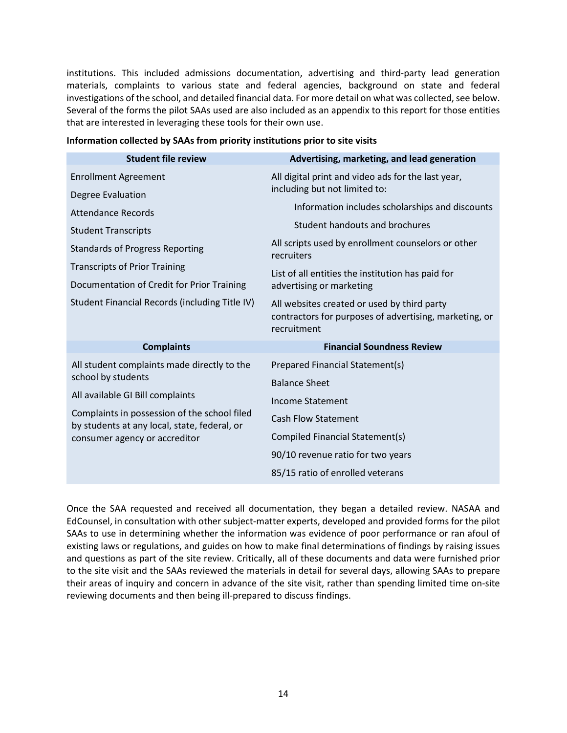institutions. This included admissions documentation, advertising and third-party lead generation materials, complaints to various state and federal agencies, background on state and federal investigations of the school, and detailed financial data. For more detail on what was collected, see below. Several of the forms the pilot SAAs used are also included as an appendix to this report for those entities that are interested in leveraging these tools for their own use.

| <b>Student file review</b>                                                                                                    | Advertising, marketing, and lead generation                                                                          |
|-------------------------------------------------------------------------------------------------------------------------------|----------------------------------------------------------------------------------------------------------------------|
| <b>Enrollment Agreement</b>                                                                                                   | All digital print and video ads for the last year,                                                                   |
| Degree Evaluation                                                                                                             | including but not limited to:                                                                                        |
| <b>Attendance Records</b>                                                                                                     | Information includes scholarships and discounts                                                                      |
| <b>Student Transcripts</b>                                                                                                    | Student handouts and brochures                                                                                       |
| <b>Standards of Progress Reporting</b>                                                                                        | All scripts used by enrollment counselors or other<br>recruiters                                                     |
| <b>Transcripts of Prior Training</b>                                                                                          | List of all entities the institution has paid for                                                                    |
| Documentation of Credit for Prior Training                                                                                    | advertising or marketing                                                                                             |
| Student Financial Records (including Title IV)                                                                                | All websites created or used by third party<br>contractors for purposes of advertising, marketing, or<br>recruitment |
| <b>Complaints</b>                                                                                                             | <b>Financial Soundness Review</b>                                                                                    |
| All student complaints made directly to the                                                                                   | Prepared Financial Statement(s)                                                                                      |
| school by students                                                                                                            | <b>Balance Sheet</b>                                                                                                 |
| All available GI Bill complaints                                                                                              | Income Statement                                                                                                     |
| Complaints in possession of the school filed<br>by students at any local, state, federal, or<br>consumer agency or accreditor | <b>Cash Flow Statement</b>                                                                                           |
|                                                                                                                               | Compiled Financial Statement(s)                                                                                      |
|                                                                                                                               | 90/10 revenue ratio for two years                                                                                    |
|                                                                                                                               | 85/15 ratio of enrolled veterans                                                                                     |

## **Information collected by SAAs from priority institutions prior to site visits**

Once the SAA requested and received all documentation, they began a detailed review. NASAA and EdCounsel, in consultation with other subject-matter experts, developed and provided forms for the pilot SAAs to use in determining whether the information was evidence of poor performance or ran afoul of existing laws or regulations, and guides on how to make final determinations of findings by raising issues and questions as part of the site review. Critically, all of these documents and data were furnished prior to the site visit and the SAAs reviewed the materials in detail for several days, allowing SAAs to prepare their areas of inquiry and concern in advance of the site visit, rather than spending limited time on-site reviewing documents and then being ill-prepared to discuss findings.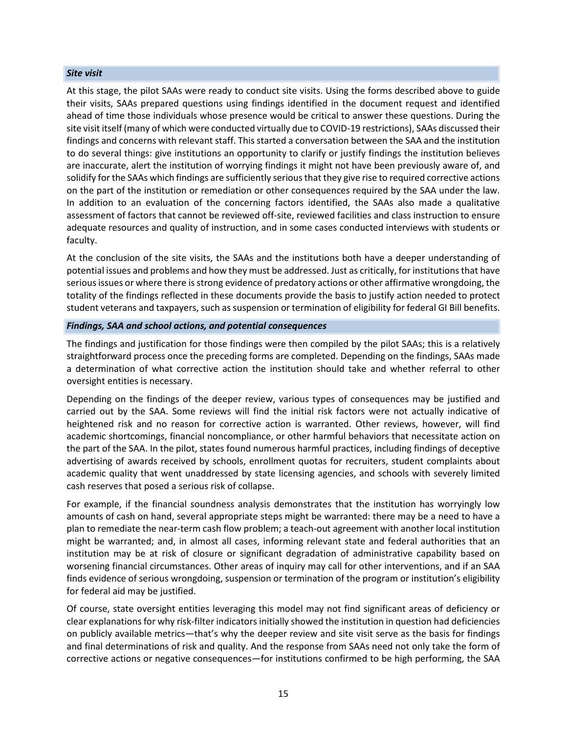#### *Site visit*

At this stage, the pilot SAAs were ready to conduct site visits. Using the forms described above to guide their visits, SAAs prepared questions using findings identified in the document request and identified ahead of time those individuals whose presence would be critical to answer these questions. During the site visit itself (many of which were conducted virtually due to COVID-19 restrictions), SAAs discussed their findings and concerns with relevant staff. This started a conversation between the SAA and the institution to do several things: give institutions an opportunity to clarify or justify findings the institution believes are inaccurate, alert the institution of worrying findings it might not have been previously aware of, and solidify for the SAAs which findings are sufficiently serious that they give rise to required corrective actions on the part of the institution or remediation or other consequences required by the SAA under the law. In addition to an evaluation of the concerning factors identified, the SAAs also made a qualitative assessment of factors that cannot be reviewed off-site, reviewed facilities and class instruction to ensure adequate resources and quality of instruction, and in some cases conducted interviews with students or faculty.

At the conclusion of the site visits, the SAAs and the institutions both have a deeper understanding of potential issues and problems and how they must be addressed. Just as critically, for institutions that have serious issues or where there is strong evidence of predatory actions or other affirmative wrongdoing, the totality of the findings reflected in these documents provide the basis to justify action needed to protect student veterans and taxpayers, such as suspension or termination of eligibility for federal GI Bill benefits.

#### *Findings, SAA and school actions, and potential consequences*

The findings and justification for those findings were then compiled by the pilot SAAs; this is a relatively straightforward process once the preceding forms are completed. Depending on the findings, SAAs made a determination of what corrective action the institution should take and whether referral to other oversight entities is necessary.

Depending on the findings of the deeper review, various types of consequences may be justified and carried out by the SAA. Some reviews will find the initial risk factors were not actually indicative of heightened risk and no reason for corrective action is warranted. Other reviews, however, will find academic shortcomings, financial noncompliance, or other harmful behaviors that necessitate action on the part of the SAA. In the pilot, states found numerous harmful practices, including findings of deceptive advertising of awards received by schools, enrollment quotas for recruiters, student complaints about academic quality that went unaddressed by state licensing agencies, and schools with severely limited cash reserves that posed a serious risk of collapse.

For example, if the financial soundness analysis demonstrates that the institution has worryingly low amounts of cash on hand, several appropriate steps might be warranted: there may be a need to have a plan to remediate the near-term cash flow problem; a teach-out agreement with another local institution might be warranted; and, in almost all cases, informing relevant state and federal authorities that an institution may be at risk of closure or significant degradation of administrative capability based on worsening financial circumstances. Other areas of inquiry may call for other interventions, and if an SAA finds evidence of serious wrongdoing, suspension or termination of the program or institution's eligibility for federal aid may be justified.

Of course, state oversight entities leveraging this model may not find significant areas of deficiency or clear explanations for why risk-filter indicators initially showed the institution in question had deficiencies on publicly available metrics—that's why the deeper review and site visit serve as the basis for findings and final determinations of risk and quality. And the response from SAAs need not only take the form of corrective actions or negative consequences—for institutions confirmed to be high performing, the SAA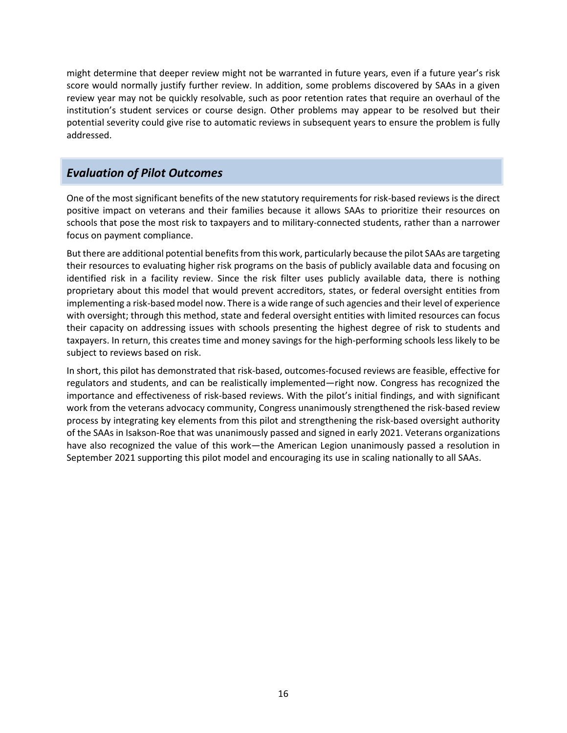might determine that deeper review might not be warranted in future years, even if a future year's risk score would normally justify further review. In addition, some problems discovered by SAAs in a given review year may not be quickly resolvable, such as poor retention rates that require an overhaul of the institution's student services or course design. Other problems may appear to be resolved but their potential severity could give rise to automatic reviews in subsequent years to ensure the problem is fully addressed.

# <span id="page-15-0"></span>*Evaluation of Pilot Outcomes*

One of the most significant benefits of the new statutory requirements for risk-based reviews is the direct positive impact on veterans and their families because it allows SAAs to prioritize their resources on schools that pose the most risk to taxpayers and to military-connected students, rather than a narrower focus on payment compliance.

But there are additional potential benefits from this work, particularly because the pilot SAAs are targeting their resources to evaluating higher risk programs on the basis of publicly available data and focusing on identified risk in a facility review. Since the risk filter uses publicly available data, there is nothing proprietary about this model that would prevent accreditors, states, or federal oversight entities from implementing a risk-based model now. There is a wide range of such agencies and their level of experience with oversight; through this method, state and federal oversight entities with limited resources can focus their capacity on addressing issues with schools presenting the highest degree of risk to students and taxpayers. In return, this creates time and money savings for the high-performing schools less likely to be subject to reviews based on risk.

In short, this pilot has demonstrated that risk-based, outcomes-focused reviews are feasible, effective for regulators and students, and can be realistically implemented—right now. Congress has recognized the importance and effectiveness of risk-based reviews. With the pilot's initial findings, and with significant work from the veterans advocacy community, Congress unanimously strengthened the risk-based review process by integrating key elements from this pilot and strengthening the risk-based oversight authority of the SAAs in Isakson-Roe that was unanimously passed and signed in early 2021. Veterans organizations have also recognized the value of this work—the American Legion unanimously passed a resolution in September 2021 supporting this pilot model and encouraging its use in scaling nationally to all SAAs.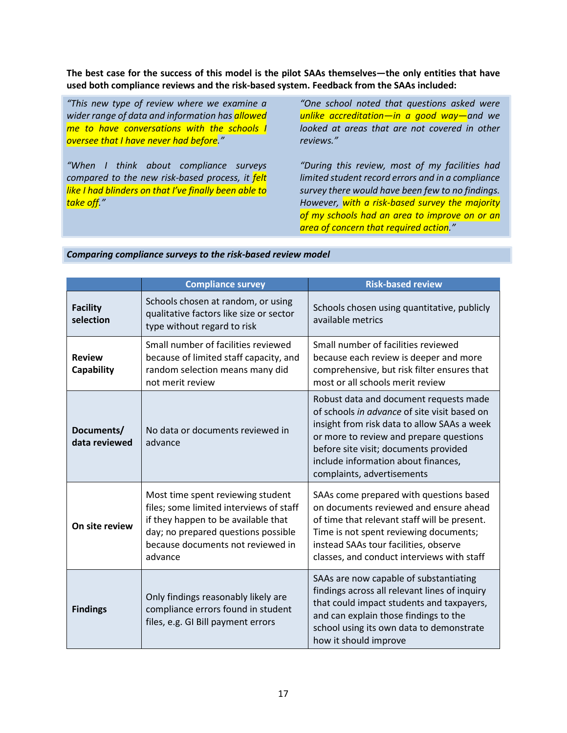**The best case for the success of this model is the pilot SAAs themselves—the only entities that have used both compliance reviews and the risk-based system. Feedback from the SAAs included:** 

*"This new type of review where we examine a wider range of data and information has allowed me to have conversations with the schools I oversee that I have never had before."* 

*"When I think about compliance surveys compared to the new risk-based process, it felt like I had blinders on that I've finally been able to take off."* 

*"One school noted that questions asked were unlike accreditation—in a good way—and we looked at areas that are not covered in other reviews."* 

*"During this review, most of my facilities had limited student record errors and in a compliance survey there would have been few to no findings. However, with a risk-based survey the majority of my schools had an area to improve on or an area of concern that required action."* 

|                              | <b>Compliance survey</b>                                                                                                                                                                                   | <b>Risk-based review</b>                                                                                                                                                                                                                                                                       |
|------------------------------|------------------------------------------------------------------------------------------------------------------------------------------------------------------------------------------------------------|------------------------------------------------------------------------------------------------------------------------------------------------------------------------------------------------------------------------------------------------------------------------------------------------|
| <b>Facility</b><br>selection | Schools chosen at random, or using<br>qualitative factors like size or sector<br>type without regard to risk                                                                                               | Schools chosen using quantitative, publicly<br>available metrics                                                                                                                                                                                                                               |
| <b>Review</b><br>Capability  | Small number of facilities reviewed<br>because of limited staff capacity, and<br>random selection means many did<br>not merit review                                                                       | Small number of facilities reviewed<br>because each review is deeper and more<br>comprehensive, but risk filter ensures that<br>most or all schools merit review                                                                                                                               |
| Documents/<br>data reviewed  | No data or documents reviewed in<br>advance                                                                                                                                                                | Robust data and document requests made<br>of schools in advance of site visit based on<br>insight from risk data to allow SAAs a week<br>or more to review and prepare questions<br>before site visit; documents provided<br>include information about finances,<br>complaints, advertisements |
| On site review               | Most time spent reviewing student<br>files; some limited interviews of staff<br>if they happen to be available that<br>day; no prepared questions possible<br>because documents not reviewed in<br>advance | SAAs come prepared with questions based<br>on documents reviewed and ensure ahead<br>of time that relevant staff will be present.<br>Time is not spent reviewing documents;<br>instead SAAs tour facilities, observe<br>classes, and conduct interviews with staff                             |
| <b>Findings</b>              | Only findings reasonably likely are<br>compliance errors found in student<br>files, e.g. GI Bill payment errors                                                                                            | SAAs are now capable of substantiating<br>findings across all relevant lines of inquiry<br>that could impact students and taxpayers,<br>and can explain those findings to the<br>school using its own data to demonstrate<br>how it should improve                                             |

### *Comparing compliance surveys to the risk-based review model*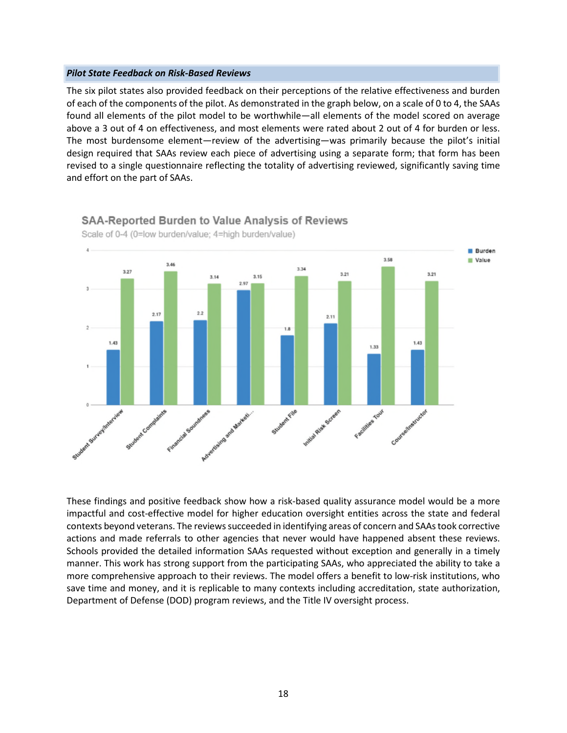#### *Pilot State Feedback on Risk-Based Reviews*

The six pilot states also provided feedback on their perceptions of the relative effectiveness and burden of each of the components of the pilot. As demonstrated in the graph below, on a scale of 0 to 4, the SAAs found all elements of the pilot model to be worthwhile—all elements of the model scored on average above a 3 out of 4 on effectiveness, and most elements were rated about 2 out of 4 for burden or less. The most burdensome element—review of the advertising—was primarily because the pilot's initial design required that SAAs review each piece of advertising using a separate form; that form has been revised to a single questionnaire reflecting the totality of advertising reviewed, significantly saving time and effort on the part of SAAs.



**SAA-Reported Burden to Value Analysis of Reviews** 

Scale of 0-4 (0=low burden/value; 4=high burden/value)

These findings and positive feedback show how a risk-based quality assurance model would be a more impactful and cost-effective model for higher education oversight entities across the state and federal contexts beyond veterans. The reviews succeeded in identifying areas of concern and SAAs took corrective actions and made referrals to other agencies that never would have happened absent these reviews. Schools provided the detailed information SAAs requested without exception and generally in a timely manner. This work has strong support from the participating SAAs, who appreciated the ability to take a more comprehensive approach to their reviews. The model offers a benefit to low-risk institutions, who save time and money, and it is replicable to many contexts including accreditation, state authorization, Department of Defense (DOD) program reviews, and the Title IV oversight process.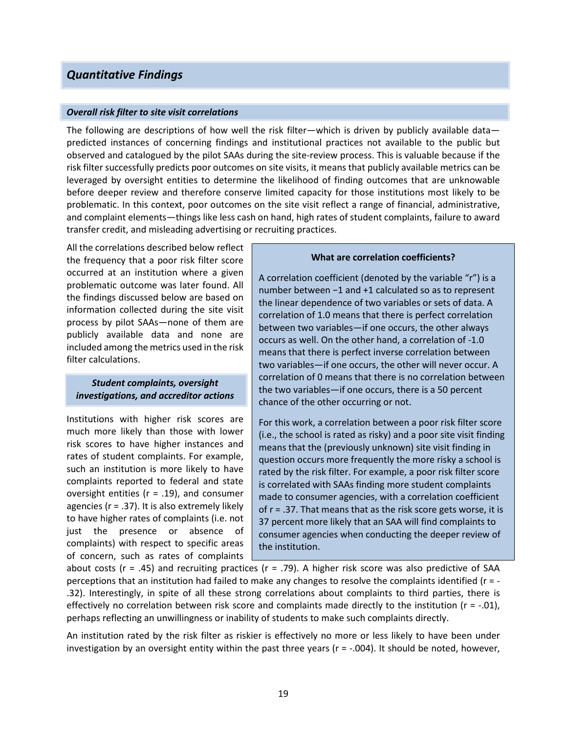# <span id="page-18-0"></span>*Quantitative Findings*

#### *Overall risk filter to site visit correlations*

The following are descriptions of how well the risk filter—which is driven by publicly available data predicted instances of concerning findings and institutional practices not available to the public but observed and catalogued by the pilot SAAs during the site-review process. This is valuable because if the risk filter successfully predicts poor outcomes on site visits, it means that publicly available metrics can be leveraged by oversight entities to determine the likelihood of finding outcomes that are unknowable before deeper review and therefore conserve limited capacity for those institutions most likely to be problematic. In this context, poor outcomes on the site visit reflect a range of financial, administrative, and complaint elements—things like less cash on hand, high rates of student complaints, failure to award transfer credit, and misleading advertising or recruiting practices.

All the correlations described below reflect the frequency that a poor risk filter score occurred at an institution where a given problematic outcome was later found. All the findings discussed below are based on information collected during the site visit process by pilot SAAs—none of them are publicly available data and none are included among the metrics used in the risk filter calculations.

## *Student complaints, oversight investigations, and accreditor actions*

Institutions with higher risk scores are much more likely than those with lower risk scores to have higher instances and rates of student complaints. For example, such an institution is more likely to have complaints reported to federal and state oversight entities (r = .19), and consumer agencies ( $r = .37$ ). It is also extremely likely to have higher rates of complaints (i.e. not just the presence or absence of complaints) with respect to specific areas of concern, such as rates of complaints

#### **What are correlation coefficients?**

A correlation coefficient (denoted by the variable "r") is a number between −1 and +1 calculated so as to represent the linear dependence of two variables or sets of data. A correlation of 1.0 means that there is perfect correlation between two variables—if one occurs, the other always occurs as well. On the other hand, a correlation of -1.0 means that there is perfect inverse correlation between two variables—if one occurs, the other will never occur. A correlation of 0 means that there is no correlation between the two variables—if one occurs, there is a 50 percent chance of the other occurring or not.

For this work, a correlation between a poor risk filter score (i.e., the school is rated as risky) and a poor site visit finding means that the (previously unknown) site visit finding in question occurs more frequently the more risky a school is rated by the risk filter. For example, a poor risk filter score is correlated with SAAs finding more student complaints made to consumer agencies, with a correlation coefficient of  $r = .37$ . That means that as the risk score gets worse, it is 37 percent more likely that an SAA will find complaints to consumer agencies when conducting the deeper review of the institution.

about costs ( $r = .45$ ) and recruiting practices ( $r = .79$ ). A higher risk score was also predictive of SAA perceptions that an institution had failed to make any changes to resolve the complaints identified (r = - .32). Interestingly, in spite of all these strong correlations about complaints to third parties, there is effectively no correlation between risk score and complaints made directly to the institution ( $r = -0.01$ ), perhaps reflecting an unwillingness or inability of students to make such complaints directly.

An institution rated by the risk filter as riskier is effectively no more or less likely to have been under investigation by an oversight entity within the past three years ( $r = -0.004$ ). It should be noted, however,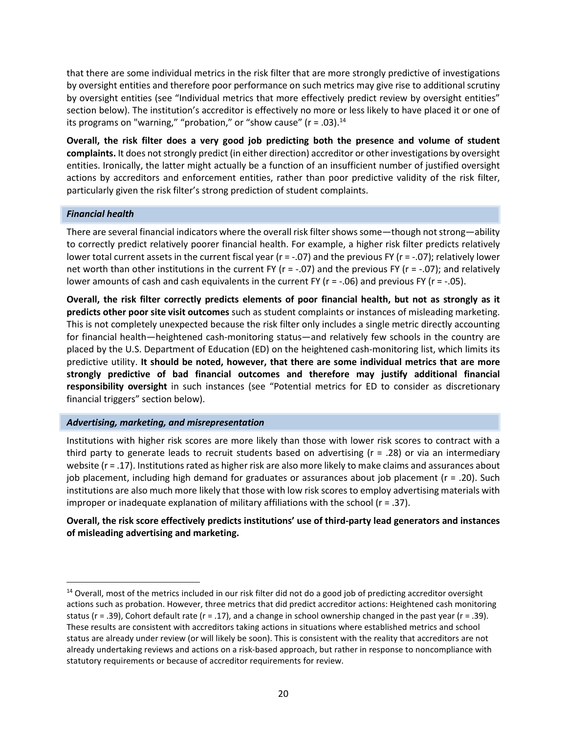that there are some individual metrics in the risk filter that are more strongly predictive of investigations by oversight entities and therefore poor performance on such metrics may give rise to additional scrutiny by oversight entities (see "Individual metrics that more effectively predict review by oversight entities" section below). The institution's accreditor is effectively no more or less likely to have placed it or one of its programs on "warning," "probation," or "show cause" ( $r = .03$ ).<sup>[14](#page-19-0)</sup>

**Overall, the risk filter does a very good job predicting both the presence and volume of student complaints.** It does not strongly predict (in either direction) accreditor or other investigations by oversight entities. Ironically, the latter might actually be a function of an insufficient number of justified oversight actions by accreditors and enforcement entities, rather than poor predictive validity of the risk filter, particularly given the risk filter's strong prediction of student complaints.

### *Financial health*

There are several financial indicators where the overall risk filter shows some—though not strong—ability to correctly predict relatively poorer financial health. For example, a higher risk filter predicts relatively lower total current assets in the current fiscal year (r = -.07) and the previous FY (r = -.07); relatively lower net worth than other institutions in the current FY (r = -.07) and the previous FY (r = -.07); and relatively lower amounts of cash and cash equivalents in the current FY ( $r = -06$ ) and previous FY ( $r = -05$ ).

**Overall, the risk filter correctly predicts elements of poor financial health, but not as strongly as it predicts other poor site visit outcomes** such as student complaints or instances of misleading marketing. This is not completely unexpected because the risk filter only includes a single metric directly accounting for financial health—heightened cash-monitoring status—and relatively few schools in the country are placed by the U.S. Department of Education (ED) on the heightened cash-monitoring list, which limits its predictive utility. **It should be noted, however, that there are some individual metrics that are more strongly predictive of bad financial outcomes and therefore may justify additional financial responsibility oversight** in such instances (see "Potential metrics for ED to consider as discretionary financial triggers" section below).

#### *Advertising, marketing, and misrepresentation*

Institutions with higher risk scores are more likely than those with lower risk scores to contract with a third party to generate leads to recruit students based on advertising ( $r = .28$ ) or via an intermediary website (r = .17). Institutions rated as higher risk are also more likely to make claims and assurances about job placement, including high demand for graduates or assurances about job placement (r = .20). Such institutions are also much more likely that those with low risk scores to employ advertising materials with improper or inadequate explanation of military affiliations with the school (r = .37).

# **Overall, the risk score effectively predicts institutions' use of third-party lead generators and instances of misleading advertising and marketing.**

<span id="page-19-0"></span> $14$  Overall, most of the metrics included in our risk filter did not do a good job of predicting accreditor oversight actions such as probation. However, three metrics that did predict accreditor actions: Heightened cash monitoring status ( $r = .39$ ), Cohort default rate ( $r = .17$ ), and a change in school ownership changed in the past year ( $r = .39$ ). These results are consistent with accreditors taking actions in situations where established metrics and school status are already under review (or will likely be soon). This is consistent with the reality that accreditors are not already undertaking reviews and actions on a risk-based approach, but rather in response to noncompliance with statutory requirements or because of accreditor requirements for review.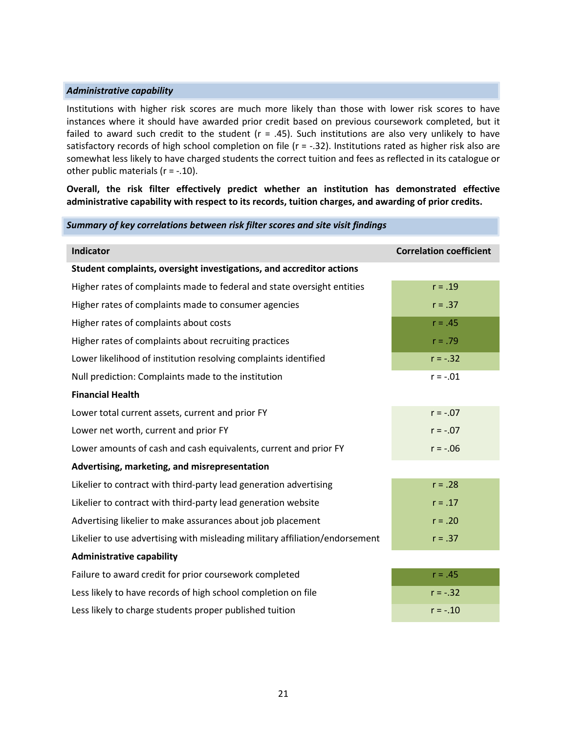#### *Administrative capability*

Institutions with higher risk scores are much more likely than those with lower risk scores to have instances where it should have awarded prior credit based on previous coursework completed, but it failed to award such credit to the student ( $r = .45$ ). Such institutions are also very unlikely to have satisfactory records of high school completion on file ( $r = -0.32$ ). Institutions rated as higher risk also are somewhat less likely to have charged students the correct tuition and fees as reflected in its catalogue or other public materials  $(r = -.10)$ .

**Overall, the risk filter effectively predict whether an institution has demonstrated effective administrative capability with respect to its records, tuition charges, and awarding of prior credits.** 

| Summary of key correlations between risk filter scores and site visit findings |                                |  |  |  |
|--------------------------------------------------------------------------------|--------------------------------|--|--|--|
| <b>Indicator</b>                                                               | <b>Correlation coefficient</b> |  |  |  |
| Student complaints, oversight investigations, and accreditor actions           |                                |  |  |  |
| Higher rates of complaints made to federal and state oversight entities        | $r = .19$                      |  |  |  |
| Higher rates of complaints made to consumer agencies                           | $r = .37$                      |  |  |  |
| Higher rates of complaints about costs                                         | $r = .45$                      |  |  |  |
| Higher rates of complaints about recruiting practices                          | $r = .79$                      |  |  |  |
| Lower likelihood of institution resolving complaints identified                | $r = -.32$                     |  |  |  |
| Null prediction: Complaints made to the institution                            | $r = -.01$                     |  |  |  |
| <b>Financial Health</b>                                                        |                                |  |  |  |
| Lower total current assets, current and prior FY                               | $r = -.07$                     |  |  |  |
| Lower net worth, current and prior FY                                          | $r = -.07$                     |  |  |  |
| Lower amounts of cash and cash equivalents, current and prior FY               | $r = -.06$                     |  |  |  |
| Advertising, marketing, and misrepresentation                                  |                                |  |  |  |
| Likelier to contract with third-party lead generation advertising              | $r = .28$                      |  |  |  |
| Likelier to contract with third-party lead generation website                  | $r = .17$                      |  |  |  |
| Advertising likelier to make assurances about job placement                    | $r = .20$                      |  |  |  |
| Likelier to use advertising with misleading military affiliation/endorsement   | $r = .37$                      |  |  |  |
| <b>Administrative capability</b>                                               |                                |  |  |  |
| Failure to award credit for prior coursework completed                         | $r = .45$                      |  |  |  |
| Less likely to have records of high school completion on file                  | $r = -.32$                     |  |  |  |
| Less likely to charge students proper published tuition                        | $r = -.10$                     |  |  |  |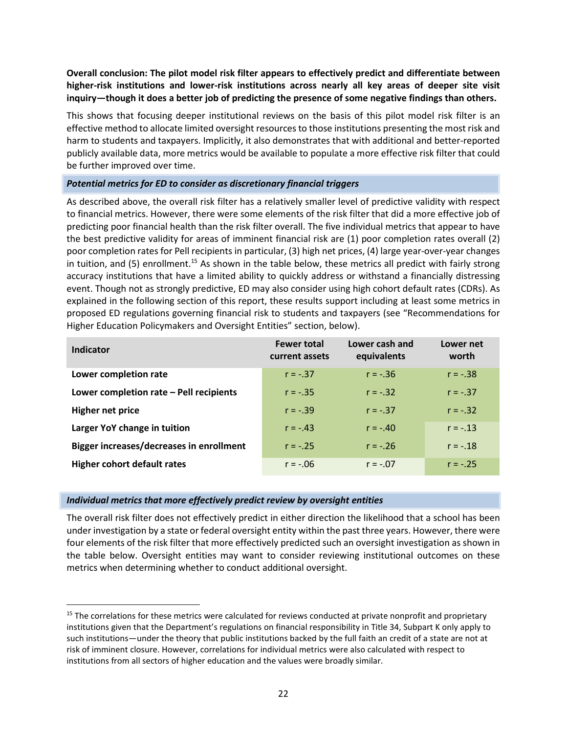**Overall conclusion: The pilot model risk filter appears to effectively predict and differentiate between higher-risk institutions and lower-risk institutions across nearly all key areas of deeper site visit inquiry—though it does a better job of predicting the presence of some negative findings than others.**

This shows that focusing deeper institutional reviews on the basis of this pilot model risk filter is an effective method to allocate limited oversight resources to those institutions presenting the most risk and harm to students and taxpayers. Implicitly, it also demonstrates that with additional and better-reported publicly available data, more metrics would be available to populate a more effective risk filter that could be further improved over time.

## *Potential metrics for ED to consider as discretionary financial triggers*

As described above, the overall risk filter has a relatively smaller level of predictive validity with respect to financial metrics. However, there were some elements of the risk filter that did a more effective job of predicting poor financial health than the risk filter overall. The five individual metrics that appear to have the best predictive validity for areas of imminent financial risk are (1) poor completion rates overall (2) poor completion rates for Pell recipients in particular, (3) high net prices, (4) large year-over-year changes in tuition, and  $(5)$  enrollment.<sup>[15](#page-21-0)</sup> As shown in the table below, these metrics all predict with fairly strong accuracy institutions that have a limited ability to quickly address or withstand a financially distressing event. Though not as strongly predictive, ED may also consider using high cohort default rates (CDRs). As explained in the following section of this report, these results support including at least some metrics in proposed ED regulations governing financial risk to students and taxpayers (see "Recommendations for Higher Education Policymakers and Oversight Entities" section, below).

| Indicator                                       | <b>Fewer total</b><br>current assets | Lower cash and<br>equivalents | Lower net<br>worth |
|-------------------------------------------------|--------------------------------------|-------------------------------|--------------------|
| Lower completion rate                           | $r = -.37$                           | $r = -.36$                    | $r = -.38$         |
| Lower completion rate - Pell recipients         | $r = -.35$                           | $r = -.32$                    | $r = -.37$         |
| <b>Higher net price</b>                         | $r = -.39$                           | $r = -.37$                    | $r = -.32$         |
| Larger YoY change in tuition                    | $r = -.43$                           | $r = -.40$                    | $r = -.13$         |
| <b>Bigger increases/decreases in enrollment</b> | $r = -.25$                           | $r = -.26$                    | $r = -.18$         |
| <b>Higher cohort default rates</b>              | $r = -.06$                           | $r = -.07$                    | $r = -0.25$        |

#### *Individual metrics that more effectively predict review by oversight entities*

The overall risk filter does not effectively predict in either direction the likelihood that a school has been under investigation by a state or federal oversight entity within the past three years. However, there were four elements of the risk filter that more effectively predicted such an oversight investigation as shown in the table below. Oversight entities may want to consider reviewing institutional outcomes on these metrics when determining whether to conduct additional oversight.

<span id="page-21-0"></span><sup>&</sup>lt;sup>15</sup> The correlations for these metrics were calculated for reviews conducted at private nonprofit and proprietary institutions given that the Department's regulations on financial responsibility in Title 34, Subpart K only apply to such institutions—under the theory that public institutions backed by the full faith an credit of a state are not at risk of imminent closure. However, correlations for individual metrics were also calculated with respect to institutions from all sectors of higher education and the values were broadly similar.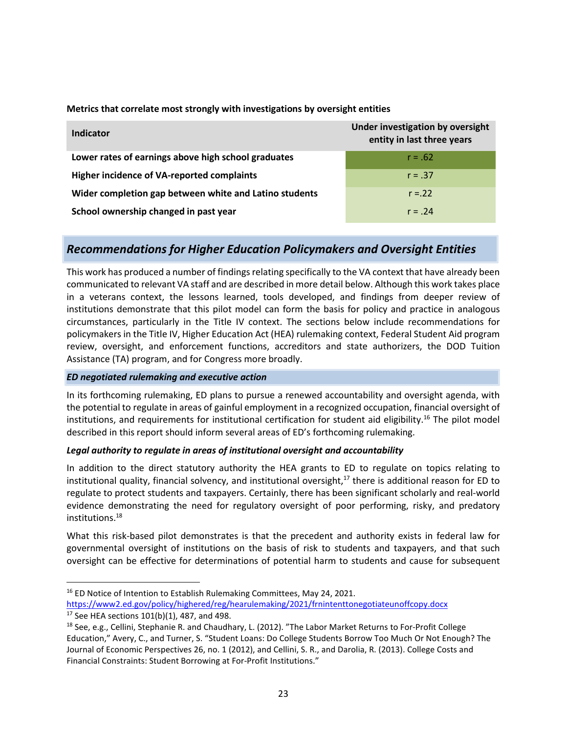| Indicator                                              | Under investigation by oversight<br>entity in last three years |
|--------------------------------------------------------|----------------------------------------------------------------|
| Lower rates of earnings above high school graduates    | $r = .62$                                                      |
| Higher incidence of VA-reported complaints             | $r = .37$                                                      |
| Wider completion gap between white and Latino students | $r = 22$                                                       |
| School ownership changed in past year                  | $r = .24$                                                      |

## **Metrics that correlate most strongly with investigations by oversight entities**

# <span id="page-22-0"></span>*Recommendations for Higher Education Policymakers and Oversight Entities*

This work has produced a number of findings relating specifically to the VA context that have already been communicated to relevant VA staff and are described in more detail below. Although this work takes place in a veterans context, the lessons learned, tools developed, and findings from deeper review of institutions demonstrate that this pilot model can form the basis for policy and practice in analogous circumstances, particularly in the Title IV context. The sections below include recommendations for policymakers in the Title IV, Higher Education Act (HEA) rulemaking context, Federal Student Aid program review, oversight, and enforcement functions, accreditors and state authorizers, the DOD Tuition Assistance (TA) program, and for Congress more broadly.

# *ED negotiated rulemaking and executive action*

In its forthcoming rulemaking, ED plans to pursue a renewed accountability and oversight agenda, with the potential to regulate in areas of gainful employment in a recognized occupation, financial oversight of institutions, and requirements for institutional certification for student aid eligibility.<sup>[16](#page-22-1)</sup> The pilot model described in this report should inform several areas of ED's forthcoming rulemaking.

#### *Legal authority to regulate in areas of institutional oversight and accountability*

In addition to the direct statutory authority the HEA grants to ED to regulate on topics relating to institutional quality, financial solvency, and institutional oversight, $17$  there is additional reason for ED to regulate to protect students and taxpayers. Certainly, there has been significant scholarly and real-world evidence demonstrating the need for regulatory oversight of poor performing, risky, and predatory institutions.[18](#page-22-3)

What this risk-based pilot demonstrates is that the precedent and authority exists in federal law for governmental oversight of institutions on the basis of risk to students and taxpayers, and that such oversight can be effective for determinations of potential harm to students and cause for subsequent

<span id="page-22-1"></span><sup>&</sup>lt;sup>16</sup> ED Notice of Intention to Establish Rulemaking Committees, May 24, 2021. https://www2.ed.gov/policy/highered/reg/hearulemaking/2021/frnintenttonegotiateunoffcopy.docx

<span id="page-22-3"></span><span id="page-22-2"></span> $17$  See HEA sections  $101(b)(1)$ , 487, and 498.

<sup>&</sup>lt;sup>18</sup> See, e.g., Cellini, Stephanie R. and Chaudhary, L. (2012). "The Labor Market Returns to For-Profit College Education," Avery, C., and Turner, S. "Student Loans: Do College Students Borrow Too Much Or Not Enough? The Journal of Economic Perspectives 26, no. 1 (2012), and Cellini, S. R., and Darolia, R. (2013). College Costs and Financial Constraints: Student Borrowing at For-Profit Institutions."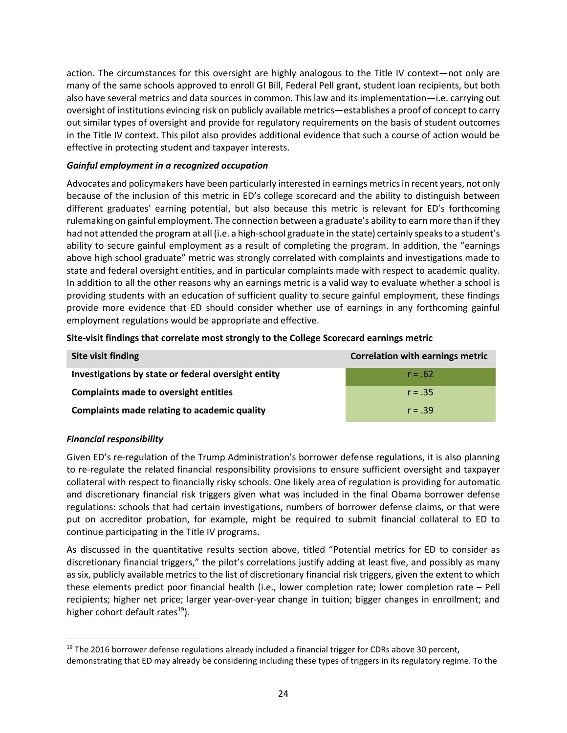action. The circumstances for this oversight are highly analogous to the Title IV context—not only are many of the same schools approved to enroll GI Bill, Federal Pell grant, student loan recipients, but both also have several metrics and data sources in common. This law and its implementation—i.e. carrying out oversight of institutions evincing risk on publicly available metrics—establishes a proof of concept to carry out similar types of oversight and provide for regulatory requirements on the basis of student outcomes in the Title IV context. This pilot also provides additional evidence that such a course of action would be effective in protecting student and taxpayer interests.

# *Gainful employment in a recognized occupation*

Advocates and policymakers have been particularly interested in earnings metrics in recent years, not only because of the inclusion of this metric in ED's college scorecard and the ability to distinguish between different graduates' earning potential, but also because this metric is relevant for ED's forthcoming rulemaking on gainful employment. The connection between a graduate's ability to earn more than if they had not attended the program at all (i.e. a high-school graduate in the state) certainly speaks to a student's ability to secure gainful employment as a result of completing the program. In addition, the "earnings above high school graduate" metric was strongly correlated with complaints and investigations made to state and federal oversight entities, and in particular complaints made with respect to academic quality. In addition to all the other reasons why an earnings metric is a valid way to evaluate whether a school is providing students with an education of sufficient quality to secure gainful employment, these findings provide more evidence that ED should consider whether use of earnings in any forthcoming gainful employment regulations would be appropriate and effective.

| Site visit finding                                  | <b>Correlation with earnings metric</b> |
|-----------------------------------------------------|-----------------------------------------|
| Investigations by state or federal oversight entity | $r = .62$                               |
| <b>Complaints made to oversight entities</b>        | $r = .35$                               |
| Complaints made relating to academic quality        | $r = .39$                               |

## **Site-visit findings that correlate most strongly to the College Scorecard earnings metric**

## *Financial responsibility*

Given ED's re-regulation of the Trump Administration's borrower defense regulations, it is also planning to re-regulate the related financial responsibility provisions to ensure sufficient oversight and taxpayer collateral with respect to financially risky schools. One likely area of regulation is providing for automatic and discretionary financial risk triggers given what was included in the final Obama borrower defense regulations: schools that had certain investigations, numbers of borrower defense claims, or that were put on accreditor probation, for example, might be required to submit financial collateral to ED to continue participating in the Title IV programs.

As discussed in the quantitative results section above, titled "Potential metrics for ED to consider as discretionary financial triggers," the pilot's correlations justify adding at least five, and possibly as many as six, publicly available metrics to the list of discretionary financial risk triggers, given the extent to which these elements predict poor financial health (i.e., lower completion rate; lower completion rate – Pell recipients; higher net price; larger year-over-year change in tuition; bigger changes in enrollment; and higher cohort default rates $^{19}$  $^{19}$  $^{19}$ ).

<span id="page-23-0"></span> $19$  The 2016 borrower defense regulations already included a financial trigger for CDRs above 30 percent, demonstrating that ED may already be considering including these types of triggers in its regulatory regime. To the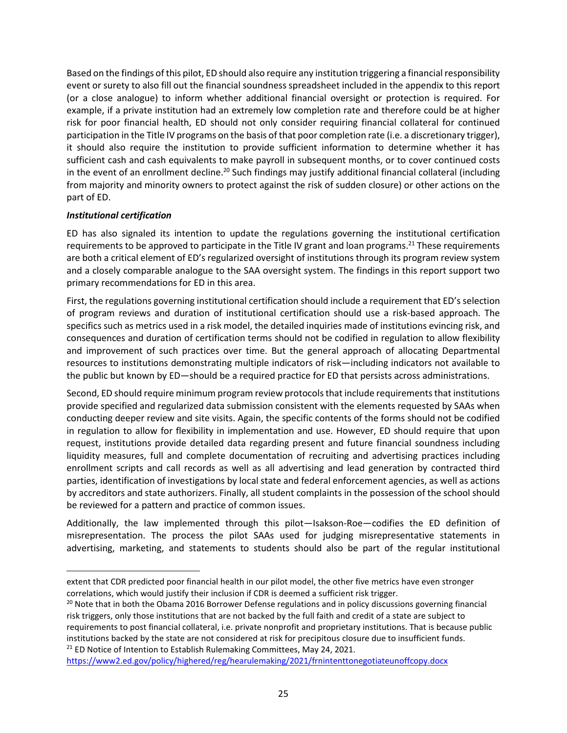Based on the findings of this pilot, ED should also require any institution triggering a financial responsibility event or surety to also fill out the financial soundness spreadsheet included in the appendix to this report (or a close analogue) to inform whether additional financial oversight or protection is required. For example, if a private institution had an extremely low completion rate and therefore could be at higher risk for poor financial health, ED should not only consider requiring financial collateral for continued participation in the Title IV programs on the basis of that poor completion rate (i.e. a discretionary trigger), it should also require the institution to provide sufficient information to determine whether it has sufficient cash and cash equivalents to make payroll in subsequent months, or to cover continued costs in the event of an enrollment decline.<sup>[20](#page-24-0)</sup> Such findings may justify additional financial collateral (including from majority and minority owners to protect against the risk of sudden closure) or other actions on the part of ED.

## *Institutional certification*

ED has also signaled its intention to update the regulations governing the institutional certification requirements to be approved to participate in the Title IV grant and loan programs.<sup>[21](#page-24-1)</sup> These requirements are both a critical element of ED's regularized oversight of institutions through its program review system and a closely comparable analogue to the SAA oversight system. The findings in this report support two primary recommendations for ED in this area.

First, the regulations governing institutional certification should include a requirement that ED's selection of program reviews and duration of institutional certification should use a risk-based approach. The specifics such as metrics used in a risk model, the detailed inquiries made of institutions evincing risk, and consequences and duration of certification terms should not be codified in regulation to allow flexibility and improvement of such practices over time. But the general approach of allocating Departmental resources to institutions demonstrating multiple indicators of risk—including indicators not available to the public but known by ED—should be a required practice for ED that persists across administrations.

Second, ED should require minimum program review protocols that include requirements that institutions provide specified and regularized data submission consistent with the elements requested by SAAs when conducting deeper review and site visits. Again, the specific contents of the forms should not be codified in regulation to allow for flexibility in implementation and use. However, ED should require that upon request, institutions provide detailed data regarding present and future financial soundness including liquidity measures, full and complete documentation of recruiting and advertising practices including enrollment scripts and call records as well as all advertising and lead generation by contracted third parties, identification of investigations by local state and federal enforcement agencies, as well as actions by accreditors and state authorizers. Finally, all student complaints in the possession of the school should be reviewed for a pattern and practice of common issues.

Additionally, the law implemented through this pilot—Isakson-Roe—codifies the ED definition of misrepresentation. The process the pilot SAAs used for judging misrepresentative statements in advertising, marketing, and statements to students should also be part of the regular institutional

extent that CDR predicted poor financial health in our pilot model, the other five metrics have even stronger correlations, which would justify their inclusion if CDR is deemed a sufficient risk trigger.

<span id="page-24-0"></span><sup>&</sup>lt;sup>20</sup> Note that in both the Obama 2016 Borrower Defense regulations and in policy discussions governing financial risk triggers, only those institutions that are not backed by the full faith and credit of a state are subject to requirements to post financial collateral, i.e. private nonprofit and proprietary institutions. That is because public institutions backed by the state are not considered at risk for precipitous closure due to insufficient funds. <sup>21</sup> ED Notice of Intention to Establish Rulemaking Committees, May 24, 2021.

<span id="page-24-1"></span>https://www2.ed.gov/policy/highered/reg/hearulemaking/2021/frnintenttonegotiateunoffcopy.docx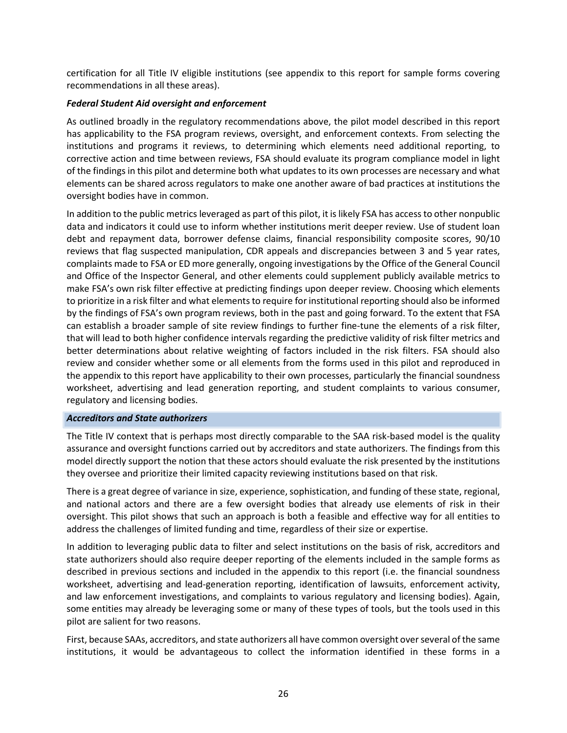certification for all Title IV eligible institutions (see appendix to this report for sample forms covering recommendations in all these areas).

### *Federal Student Aid oversight and enforcement*

As outlined broadly in the regulatory recommendations above, the pilot model described in this report has applicability to the FSA program reviews, oversight, and enforcement contexts. From selecting the institutions and programs it reviews, to determining which elements need additional reporting, to corrective action and time between reviews, FSA should evaluate its program compliance model in light of the findings in this pilot and determine both what updates to its own processes are necessary and what elements can be shared across regulators to make one another aware of bad practices at institutions the oversight bodies have in common.

In addition to the public metrics leveraged as part of this pilot, it is likely FSA has access to other nonpublic data and indicators it could use to inform whether institutions merit deeper review. Use of student loan debt and repayment data, borrower defense claims, financial responsibility composite scores, 90/10 reviews that flag suspected manipulation, CDR appeals and discrepancies between 3 and 5 year rates, complaints made to FSA or ED more generally, ongoing investigations by the Office of the General Council and Office of the Inspector General, and other elements could supplement publicly available metrics to make FSA's own risk filter effective at predicting findings upon deeper review. Choosing which elements to prioritize in a risk filter and what elements to require for institutional reporting should also be informed by the findings of FSA's own program reviews, both in the past and going forward. To the extent that FSA can establish a broader sample of site review findings to further fine-tune the elements of a risk filter, that will lead to both higher confidence intervals regarding the predictive validity of risk filter metrics and better determinations about relative weighting of factors included in the risk filters. FSA should also review and consider whether some or all elements from the forms used in this pilot and reproduced in the appendix to this report have applicability to their own processes, particularly the financial soundness worksheet, advertising and lead generation reporting, and student complaints to various consumer, regulatory and licensing bodies.

#### *Accreditors and State authorizers*

The Title IV context that is perhaps most directly comparable to the SAA risk-based model is the quality assurance and oversight functions carried out by accreditors and state authorizers. The findings from this model directly support the notion that these actors should evaluate the risk presented by the institutions they oversee and prioritize their limited capacity reviewing institutions based on that risk.

There is a great degree of variance in size, experience, sophistication, and funding of these state, regional, and national actors and there are a few oversight bodies that already use elements of risk in their oversight. This pilot shows that such an approach is both a feasible and effective way for all entities to address the challenges of limited funding and time, regardless of their size or expertise.

In addition to leveraging public data to filter and select institutions on the basis of risk, accreditors and state authorizers should also require deeper reporting of the elements included in the sample forms as described in previous sections and included in the appendix to this report (i.e. the financial soundness worksheet, advertising and lead-generation reporting, identification of lawsuits, enforcement activity, and law enforcement investigations, and complaints to various regulatory and licensing bodies). Again, some entities may already be leveraging some or many of these types of tools, but the tools used in this pilot are salient for two reasons.

First, because SAAs, accreditors, and state authorizers all have common oversight over several of the same institutions, it would be advantageous to collect the information identified in these forms in a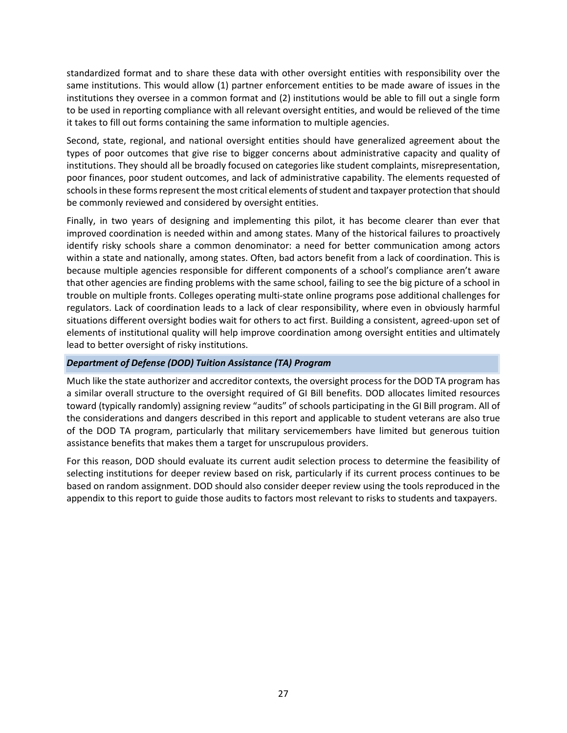standardized format and to share these data with other oversight entities with responsibility over the same institutions. This would allow (1) partner enforcement entities to be made aware of issues in the institutions they oversee in a common format and (2) institutions would be able to fill out a single form to be used in reporting compliance with all relevant oversight entities, and would be relieved of the time it takes to fill out forms containing the same information to multiple agencies.

Second, state, regional, and national oversight entities should have generalized agreement about the types of poor outcomes that give rise to bigger concerns about administrative capacity and quality of institutions. They should all be broadly focused on categories like student complaints, misrepresentation, poor finances, poor student outcomes, and lack of administrative capability. The elements requested of schools in these forms represent the most critical elements of student and taxpayer protection that should be commonly reviewed and considered by oversight entities.

Finally, in two years of designing and implementing this pilot, it has become clearer than ever that improved coordination is needed within and among states. Many of the historical failures to proactively identify risky schools share a common denominator: a need for better communication among actors within a state and nationally, among states. Often, bad actors benefit from a lack of coordination. This is because multiple agencies responsible for different components of a school's compliance aren't aware that other agencies are finding problems with the same school, failing to see the big picture of a school in trouble on multiple fronts. Colleges operating multi-state online programs pose additional challenges for regulators. Lack of coordination leads to a lack of clear responsibility, where even in obviously harmful situations different oversight bodies wait for others to act first. Building a consistent, agreed-upon set of elements of institutional quality will help improve coordination among oversight entities and ultimately lead to better oversight of risky institutions.

# *Department of Defense (DOD) Tuition Assistance (TA) Program*

Much like the state authorizer and accreditor contexts, the oversight process for the DOD TA program has a similar overall structure to the oversight required of GI Bill benefits. DOD allocates limited resources toward (typically randomly) assigning review "audits" of schools participating in the GI Bill program. All of the considerations and dangers described in this report and applicable to student veterans are also true of the DOD TA program, particularly that military servicemembers have limited but generous tuition assistance benefits that makes them a target for unscrupulous providers.

For this reason, DOD should evaluate its current audit selection process to determine the feasibility of selecting institutions for deeper review based on risk, particularly if its current process continues to be based on random assignment. DOD should also consider deeper review using the tools reproduced in the appendix to this report to guide those audits to factors most relevant to risks to students and taxpayers.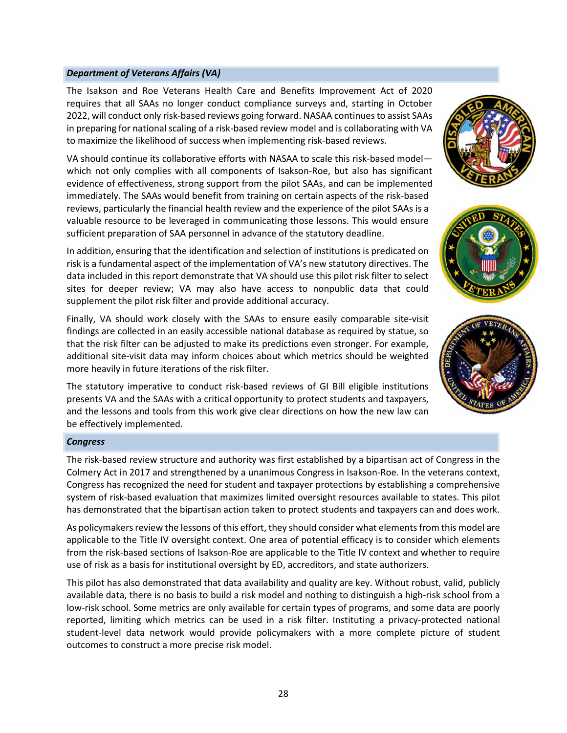## *Department of Veterans Affairs (VA)*

The Isakson and Roe Veterans Health Care and Benefits Improvement Act of 2020 requires that all SAAs no longer conduct compliance surveys and, starting in October 2022, will conduct only risk-based reviews going forward. NASAA continues to assist SAAs in preparing for national scaling of a risk-based review model and is collaborating with VA to maximize the likelihood of success when implementing risk-based reviews.

VA should continue its collaborative efforts with NASAA to scale this risk-based model which not only complies with all components of Isakson-Roe, but also has significant evidence of effectiveness, strong support from the pilot SAAs, and can be implemented immediately. The SAAs would benefit from training on certain aspects of the risk-based reviews, particularly the financial health review and the experience of the pilot SAAs is a valuable resource to be leveraged in communicating those lessons. This would ensure sufficient preparation of SAA personnel in advance of the statutory deadline.

In addition, ensuring that the identification and selection of institutions is predicated on risk is a fundamental aspect of the implementation of VA's new statutory directives. The data included in this report demonstrate that VA should use this pilot risk filter to select sites for deeper review; VA may also have access to nonpublic data that could supplement the pilot risk filter and provide additional accuracy.

Finally, VA should work closely with the SAAs to ensure easily comparable site-visit findings are collected in an easily accessible national database as required by statue, so that the risk filter can be adjusted to make its predictions even stronger. For example, additional site-visit data may inform choices about which metrics should be weighted more heavily in future iterations of the risk filter.

The statutory imperative to conduct risk-based reviews of GI Bill eligible institutions presents VA and the SAAs with a critical opportunity to protect students and taxpayers, and the lessons and tools from this work give clear directions on how the new law can be effectively implemented.

#### *Congress*

The risk-based review structure and authority was first established by a bipartisan act of Congress in the Colmery Act in 2017 and strengthened by a unanimous Congress in Isakson-Roe. In the veterans context, Congress has recognized the need for student and taxpayer protections by establishing a comprehensive system of risk-based evaluation that maximizes limited oversight resources available to states. This pilot has demonstrated that the bipartisan action taken to protect students and taxpayers can and does work.

As policymakers review the lessons of this effort, they should consider what elements from this model are applicable to the Title IV oversight context. One area of potential efficacy is to consider which elements from the risk-based sections of Isakson-Roe are applicable to the Title IV context and whether to require use of risk as a basis for institutional oversight by ED, accreditors, and state authorizers.

This pilot has also demonstrated that data availability and quality are key. Without robust, valid, publicly available data, there is no basis to build a risk model and nothing to distinguish a high-risk school from a low-risk school. Some metrics are only available for certain types of programs, and some data are poorly reported, limiting which metrics can be used in a risk filter. Instituting a privacy-protected national student-level data network would provide policymakers with a more complete picture of student outcomes to construct a more precise risk model.